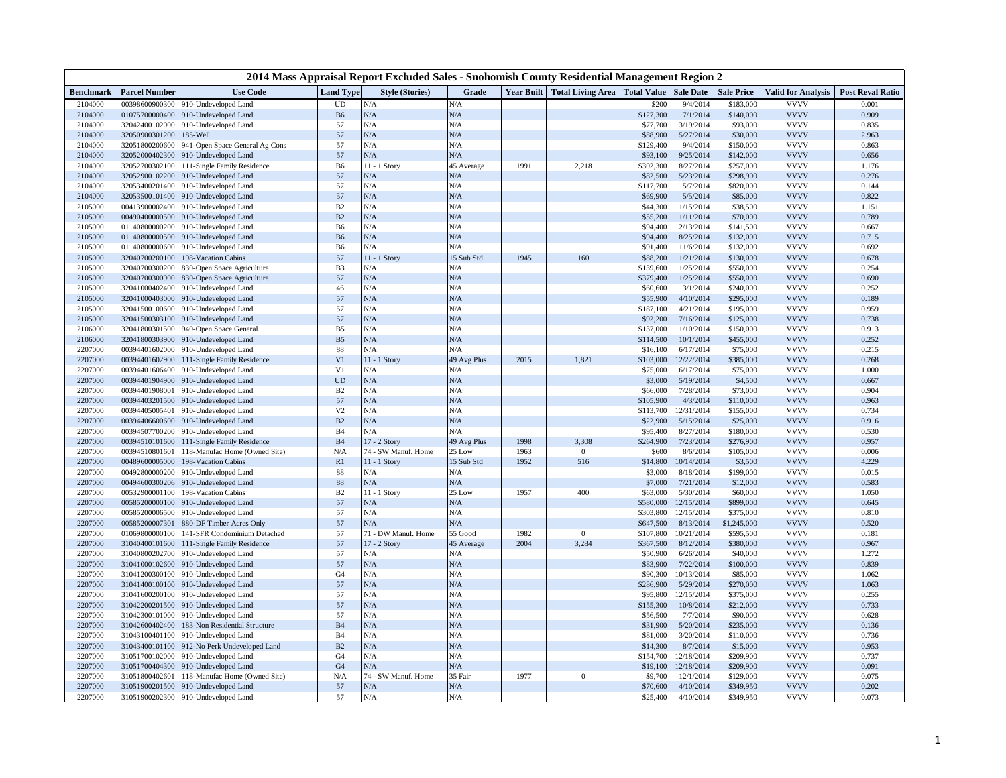| 2014 Mass Appraisal Report Excluded Sales - Snohomish County Residential Management Region 2 |                      |                                     |                  |                        |             |                   |                          |                    |                  |                   |                           |                         |
|----------------------------------------------------------------------------------------------|----------------------|-------------------------------------|------------------|------------------------|-------------|-------------------|--------------------------|--------------------|------------------|-------------------|---------------------------|-------------------------|
| <b>Benchmark</b>                                                                             | <b>Parcel Number</b> | <b>Use Code</b>                     | <b>Land Type</b> | <b>Style (Stories)</b> | Grade       | <b>Year Built</b> | <b>Total Living Area</b> | <b>Total Value</b> | <b>Sale Date</b> | <b>Sale Price</b> | <b>Valid for Analysis</b> | <b>Post Reval Ratio</b> |
| 2104000                                                                                      | 00398600900300       | 910-Undeveloped Land                | UD               | N/A                    | N/A         |                   |                          | \$200              | 9/4/2014         | \$183,000         | <b>VVVV</b>               | 0.001                   |
| 2104000                                                                                      | 01075700000400       | 910-Undeveloped Land                | <b>B6</b>        | N/A                    | N/A         |                   |                          | \$127,300          | 7/1/201          | \$140,000         | <b>VVVV</b>               | 0.909                   |
| 2104000                                                                                      | 32042400102000       | 910-Undeveloped Land                | 57               | N/A                    | N/A         |                   |                          | \$77,700           | 3/19/2014        | \$93,000          | <b>VVVV</b>               | 0.835                   |
| 2104000                                                                                      | 32050900301200       | 185-Well                            | 57               | N/A                    | N/A         |                   |                          | \$88,900           | 5/27/2014        | \$30,000          | <b>VVVV</b>               | 2.963                   |
| 2104000                                                                                      | 32051800200600       | 941-Open Space General Ag Cons      | 57               | N/A                    | N/A         |                   |                          | \$129,400          | 9/4/2014         | \$150,000         | <b>VVVV</b>               | 0.863                   |
| 2104000                                                                                      | 32052000402300       | 910-Undeveloped Land                | 57               | N/A                    | N/A         |                   |                          | \$93,100           | 9/25/2014        | \$142,000         | <b>VVVV</b>               | 0.656                   |
| 2104000                                                                                      | 32052700302100       | 111-Single Family Residence         | B <sub>6</sub>   | 11 - 1 Story           | 45 Average  | 1991              | 2,218                    | \$302,300          | 8/27/2014        | \$257,000         | <b>VVVV</b>               | 1.176                   |
| 2104000                                                                                      | 32052900102200       | 910-Undeveloped Land                | 57               | N/A                    | N/A         |                   |                          | \$82,500           | 5/23/2014        | \$298,900         | <b>VVVV</b>               | 0.276                   |
| 2104000                                                                                      | 32053400201400       | 910-Undeveloped Land                | 57               | N/A                    | N/A         |                   |                          | \$117,700          | 5/7/2014         | \$820,000         | <b>VVVV</b>               | 0.144                   |
| 2104000                                                                                      | 32053500101400       | 910-Undeveloped Land                | 57               | N/A                    | N/A         |                   |                          | \$69,900           | 5/5/2014         | \$85,000          | <b>VVVV</b>               | 0.822                   |
| 2105000                                                                                      | 00413900002400       | 910-Undeveloped Land                | B2               | N/A                    | N/A         |                   |                          | \$44,300           | 1/15/2014        | \$38,500          | <b>VVVV</b>               | 1.151                   |
| 2105000                                                                                      | 00490400000500       | 910-Undeveloped Land                | B2               | N/A                    | N/A         |                   |                          | \$55,200           | 11/11/2014       | \$70,000          | <b>VVVV</b>               | 0.789                   |
| 2105000                                                                                      | 01140800000200       | 910-Undeveloped Land                | <b>B6</b>        | N/A                    | N/A         |                   |                          | \$94,400           | 12/13/2014       | \$141,500         | <b>VVVV</b>               | 0.667                   |
| 2105000                                                                                      | 01140800000500       | 910-Undeveloped Land                | B <sub>6</sub>   | N/A                    | N/A         |                   |                          | \$94,400           | 8/25/2014        | \$132,000         | <b>VVVV</b>               | 0.715                   |
| 2105000                                                                                      | 01140800000600       | 910-Undeveloped Land                | B <sub>6</sub>   | N/A                    | N/A         |                   |                          | \$91,400           | 11/6/2014        | \$132,000         | <b>VVVV</b>               | 0.692                   |
| 2105000                                                                                      | 32040700200100       | 198-Vacation Cabins                 | 57               | 11 - 1 Story           | 15 Sub Std  | 1945              | 160                      | \$88,200           | 11/21/2014       | \$130,000         | <b>VVVV</b>               | 0.678                   |
| 2105000                                                                                      | 32040700300200       | 830-Open Space Agriculture          | B <sub>3</sub>   | N/A                    | N/A         |                   |                          | \$139,600          | 11/25/2014       | \$550,000         | <b>VVVV</b>               | 0.254                   |
| 2105000                                                                                      | 32040700300900       | 830-Open Space Agriculture          | 57               | N/A                    | N/A         |                   |                          | \$379,400          | 11/25/2014       | \$550,000         | <b>VVVV</b>               | 0.690                   |
| 2105000                                                                                      | 32041000402400       | 910-Undeveloped Land                | 46               | N/A                    | N/A         |                   |                          | \$60,60            | 3/1/2014         | \$240,000         | <b>VVVV</b>               | 0.252                   |
| 2105000                                                                                      | 32041000403000       | 910-Undeveloped Land                | 57               | N/A                    | N/A         |                   |                          | \$55,900           | 4/10/2014        | \$295,000         | <b>VVVV</b>               | 0.189                   |
| 2105000                                                                                      | 32041500100600       | 910-Undeveloped Land                | 57               | N/A                    | N/A         |                   |                          | \$187,100          | 4/21/2014        | \$195,000         | <b>VVVV</b>               | 0.959                   |
| 2105000                                                                                      | 32041500303100       | 910-Undeveloped Land                | 57               | N/A                    | N/A         |                   |                          | \$92,200           | 7/16/2014        | \$125,000         | <b>VVVV</b>               | 0.738                   |
| 2106000                                                                                      | 32041800301500       | 940-Open Space General              | B <sub>5</sub>   | N/A                    | N/A         |                   |                          | \$137,000          | 1/10/2014        | \$150,000         | <b>VVVV</b>               | 0.913                   |
| 2106000                                                                                      | 32041800303900       | 910-Undeveloped Land                | B <sub>5</sub>   | N/A                    | N/A         |                   |                          | \$114,500          | 10/1/2014        | \$455,000         | <b>VVVV</b>               | 0.252                   |
| 2207000                                                                                      | 00394401602000       | 910-Undeveloped Land                | 88               | N/A                    | N/A         |                   |                          | \$16,100           | 6/17/2014        | \$75,000          | <b>VVVV</b>               | 0.215                   |
| 2207000                                                                                      | 00394401602900       | 111-Single Family Residence         | V <sub>1</sub>   | 11 - 1 Story           | 49 Avg Plus | 2015              | 1,821                    | \$103,000          | 12/22/2014       | \$385,000         | <b>VVVV</b>               | 0.268                   |
| 2207000                                                                                      | 00394401606400       | 910-Undeveloped Land                | V <sub>1</sub>   | N/A                    | N/A         |                   |                          | \$75,000           | 6/17/2014        | \$75,000          | <b>VVVV</b>               | 1.000                   |
| 2207000                                                                                      | 00394401904900       | 910-Undeveloped Land                | <b>UD</b>        | N/A                    | N/A         |                   |                          | \$3,000            | 5/19/2014        | \$4,500           | <b>VVVV</b>               | 0.667                   |
| 2207000                                                                                      | 00394401908001       | 910-Undeveloped Land                | B <sub>2</sub>   | N/A                    | N/A         |                   |                          | \$66,000           | 7/28/2014        | \$73,000          | <b>VVVV</b>               | 0.904                   |
| 2207000                                                                                      | 00394403201500       | 910-Undeveloped Land                | 57               | N/A                    | N/A         |                   |                          | \$105,900          | 4/3/2014         | \$110,000         | <b>VVVV</b>               | 0.963                   |
| 2207000                                                                                      | 00394405005401       | 910-Undeveloped Land                | V <sub>2</sub>   | N/A                    | N/A         |                   |                          | \$113,700          | 12/31/2014       | \$155,000         | <b>VVVV</b>               | 0.734                   |
| 2207000                                                                                      | 00394406600600       | 910-Undeveloped Land                | B2               | N/A                    | N/A         |                   |                          | \$22,900           | 5/15/2014        | \$25,000          | <b>VVVV</b>               | 0.916                   |
| 2207000                                                                                      | 00394507700200       | 910-Undeveloped Land                | <b>B4</b>        | N/A                    | N/A         |                   |                          | \$95,400           | 8/27/2014        | \$180,000         | <b>VVVV</b>               | 0.530                   |
| 2207000                                                                                      | 00394510101600       | 111-Single Family Residence         | B <sub>4</sub>   | 17 - 2 Story           | 49 Avg Plus | 1998              | 3,308                    | \$264,900          | 7/23/2014        | \$276,900         | <b>VVVV</b>               | 0.957                   |
| 2207000                                                                                      | 00394510801601       | 118-Manufac Home (Owned Site)       | N/A              | 74 - SW Manuf. Home    | 25 Low      | 1963              | $\mathbf{0}$             | \$600              | 8/6/2014         | \$105,000         | <b>VVVV</b>               | 0.006                   |
| 2207000                                                                                      | 00489600005000       | 198-Vacation Cabins                 | R1               | $11 - 1$ Story         | 15 Sub Std  | 1952              | 516                      | \$14,800           | 10/14/2014       | \$3,500           | <b>VVVV</b>               | 4.229                   |
| 2207000                                                                                      | 00492800000200       | 910-Undeveloped Land                | 88               | N/A                    | N/A         |                   |                          | \$3,000            | 8/18/2014        | \$199,000         | <b>VVVV</b>               | 0.015                   |
| 2207000                                                                                      | 00494600300206       | 910-Undeveloped Land                | 88               | $\rm N/A$              | N/A         |                   |                          | \$7,000            | 7/21/2014        | \$12,000          | <b>VVVV</b>               | 0.583                   |
| 2207000                                                                                      | 00532900001100       | 198-Vacation Cabins                 | B <sub>2</sub>   | 11 - 1 Story           | 25 Low      | 1957              | 400                      | \$63,000           | 5/30/2014        | \$60,000          | <b>VVVV</b>               | 1.050                   |
| 2207000                                                                                      | 00585200000100       | 910-Undeveloped Land                | 57               | N/A                    | N/A         |                   |                          | \$580,000          | 12/15/2014       | \$899,000         | <b>VVVV</b>               | 0.645                   |
| 2207000                                                                                      | 00585200006500       | 910-Undeveloped Land                | 57               | N/A                    | N/A         |                   |                          | \$303,800          | 12/15/2014       | \$375,000         | <b>VVVV</b>               | 0.810                   |
| 2207000                                                                                      | 00585200007301       | 880-DF Timber Acres Only            | 57               | N/A                    | N/A         |                   |                          | \$647,500          | 8/13/2014        | \$1,245,000       | <b>VVVV</b>               | 0.520                   |
| 2207000                                                                                      | 01069800000100       | 141-SFR Condominium Detached        | 57               | 71 - DW Manuf. Home    | 55 Good     | 1982              | $\boldsymbol{0}$         | \$107,800          | 10/21/2014       | \$595,500         | <b>VVVV</b>               | 0.181                   |
| 2207000                                                                                      | 31040400101600       | 111-Single Family Residence         | 57               | 17 - 2 Story           | 45 Average  | 2004              | 3,284                    | \$367,500          | 8/12/2014        | \$380,000         | <b>VVVV</b>               | 0.967                   |
| 2207000                                                                                      | 31040800202700       | 910-Undeveloped Land                | 57               | N/A                    | N/A         |                   |                          | \$50,900           | 6/26/2014        | \$40,000          | <b>VVVV</b>               | 1.272                   |
| 2207000                                                                                      | 31041000102600       | 910-Undeveloped Land                | 57               | N/A                    | N/A         |                   |                          | \$83,900           | 7/22/2014        | \$100,000         | <b>VVVV</b>               | 0.839                   |
| 2207000                                                                                      | 31041200300100       | 910-Undeveloped Land                | G <sub>4</sub>   | N/A                    | N/A         |                   |                          | \$90,30            | 10/13/2014       | \$85,000          | <b>VVVV</b>               | 1.062                   |
| 2207000                                                                                      | 31041400100100       | 910-Undeveloped Land                | 57               | N/A                    | N/A         |                   |                          | \$286,900          | 5/29/2014        | \$270,000         | <b>VVVV</b>               | 1.063                   |
| 2207000                                                                                      | 31041600200100       | 910-Undeveloped Land                | 57               | N/A                    | N/A         |                   |                          | \$95,800           | 12/15/2014       | \$375,000         | <b>VVVV</b>               | 0.255                   |
| 2207000                                                                                      | 31042200201500       | 910-Undeveloped Land                | 57               | N/A                    | N/A         |                   |                          | \$155,300          | 10/8/201         | \$212,000         | <b>VVVV</b>               | 0.733                   |
| 2207000                                                                                      | 31042300101000       | 910-Undeveloped Land                | 57               | N/A                    | N/A         |                   |                          | \$56,500           | 7/7/2014         | \$90,000          | <b>VVVV</b>               | 0.628                   |
| 2207000                                                                                      | 31042600402400       | 183-Non Residential Structure       | B <sub>4</sub>   | N/A                    | N/A         |                   |                          | \$31,900           | 5/20/2014        | \$235,000         | <b>VVVV</b>               | 0.136                   |
| 2207000                                                                                      | 31043100401100       | 910-Undeveloped Land                | <b>B4</b>        | N/A                    | N/A         |                   |                          | \$81,000           | 3/20/2014        | \$110,000         | <b>VVVV</b>               | 0.736                   |
| 2207000                                                                                      | 31043400101100       | 912-No Perk Undeveloped Land        | B2               | N/A                    | N/A         |                   |                          | \$14,300           | 8/7/2014         | \$15,000          | <b>VVVV</b>               | 0.953                   |
| 2207000                                                                                      | 31051700102000       | 910-Undeveloped Land                | G <sub>4</sub>   | N/A                    | N/A         |                   |                          | \$154,700          | 12/18/2014       | \$209,900         | <b>VVVV</b>               | 0.737                   |
| 2207000                                                                                      | 31051700404300       | 910-Undeveloped Land                | G <sub>4</sub>   | N/A                    | N/A         |                   |                          | \$19,100           | 12/18/2014       | \$209,900         | <b>VVVV</b>               | 0.091                   |
| 2207000                                                                                      | 31051800402601       | 118-Manufac Home (Owned Site)       | N/A              | 74 - SW Manuf. Home    | 35 Fair     | 1977              | $\boldsymbol{0}$         | \$9,700            | 12/1/2014        | \$129,000         | <b>VVVV</b>               | 0.075                   |
| 2207000                                                                                      | 31051900201500       | 910-Undeveloped Land                | 57               | N/A                    | N/A         |                   |                          | \$70,600           | 4/10/2014        | \$349,950         | <b>VVVV</b>               | 0.202                   |
| 2207000                                                                                      |                      | 31051900202300 910-Undeveloped Land | 57               | N/A                    | N/A         |                   |                          | \$25,400           | 4/10/2014        | \$349,950         | <b>VVVV</b>               | 0.073                   |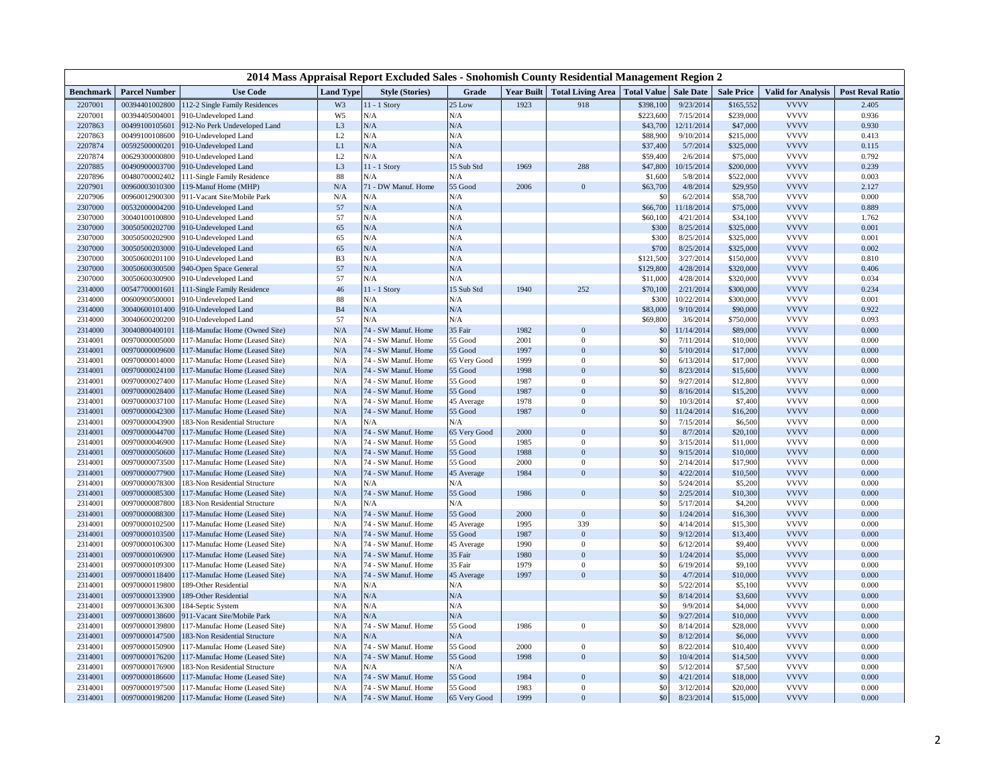| 2014 Mass Appraisal Report Excluded Sales - Snohomish County Residential Management Region 2 |                                  |                                                                 |                     |                                            |                |            |                            |                        |                         |                     |                            |                         |
|----------------------------------------------------------------------------------------------|----------------------------------|-----------------------------------------------------------------|---------------------|--------------------------------------------|----------------|------------|----------------------------|------------------------|-------------------------|---------------------|----------------------------|-------------------------|
| <b>Benchmark</b>                                                                             | <b>Parcel Number</b>             | <b>Use Code</b>                                                 | <b>Land Type</b>    | <b>Style (Stories)</b>                     | Grade          | Year Built | <b>Total Living Area</b>   | <b>Total Value</b>     | <b>Sale Date</b>        | <b>Sale Price</b>   | <b>Valid for Analysis</b>  | <b>Post Reval Ratio</b> |
| 2207001                                                                                      | 00394401002800                   | 112-2 Single Family Residences                                  | W3                  | 11 - 1 Story                               | 25 Low         | 1923       | 918                        | \$398,100              | 9/23/2014               | \$165,552           | <b>VVVV</b>                | 2.405                   |
| 2207001                                                                                      | 00394405004001                   | 910-Undeveloped Land                                            | W <sub>5</sub>      | N/A                                        | N/A            |            |                            | \$223,600              | 7/15/2014               | \$239,000           | <b>VVVV</b>                | 0.936                   |
| 2207863                                                                                      | 00499100105601                   | 912-No Perk Undeveloped Land                                    | L <sub>3</sub>      | N/A                                        | N/A            |            |                            | \$43,700               | 12/11/2014              | \$47,000            | <b>VVVV</b>                | 0.930                   |
| 2207863                                                                                      | 00499100108600                   | 910-Undeveloped Land                                            | L2                  | N/A                                        | N/A            |            |                            | \$88,900               | 9/10/2014               | \$215,000           | <b>VVVV</b>                | 0.413                   |
| 2207874                                                                                      | 00592500000201                   | 910-Undeveloped Land                                            | $\mathop{\rm L{1}}$ | N/A                                        | N/A            |            |                            | \$37,400               | 5/7/2014                | \$325,000           | <b>VVVV</b>                | 0.115                   |
| 2207874                                                                                      | 00629300000800                   | 910-Undeveloped Land                                            | L2                  | N/A                                        | N/A            |            |                            | \$59,400               | 2/6/2014                | \$75,000            | <b>VVVV</b>                | 0.792                   |
| 2207885                                                                                      | 00490900003700                   | 910-Undeveloped Land                                            | L <sub>3</sub>      | 11 - 1 Story                               | 15 Sub Std     | 1969       | 288                        | \$47,800               | 10/15/2014              | \$200,000           | <b>VVVV</b>                | 0.239                   |
| 2207896                                                                                      | 00480700002402                   | 111-Single Family Residence                                     | 88                  | N/A                                        | N/A            |            |                            | \$1,600                | 5/8/2014                | \$522,000           | <b>VVVV</b>                | 0.003                   |
| 2207901                                                                                      | 00960003010300                   | 119-Manuf Home (MHP)                                            | N/A                 | 71 - DW Manuf. Home                        | 55 Good        | 2006       | $\mathbf{0}$               | \$63,700               | 4/8/2014                | \$29,950            | <b>VVVV</b>                | 2.127                   |
| 2207906                                                                                      | 00960012900300                   | 911-Vacant Site/Mobile Park                                     | N/A                 | N/A                                        | N/A            |            |                            | \$ <sub>6</sub>        | 6/2/2014                | \$58,700            | <b>VVVV</b>                | 0.000                   |
| 2307000                                                                                      | 00532000004200                   | 910-Undeveloped Land                                            | 57                  | $\rm N/A$                                  | $\rm N/A$      |            |                            | \$66,700               | 11/18/2014              | \$75,000            | <b>VVVV</b>                | 0.889                   |
| 2307000                                                                                      | 30040100100800                   | 910-Undeveloped Land                                            | 57                  | N/A                                        | N/A            |            |                            | \$60,10                | 4/21/2014               | \$34,100            | <b>VVVV</b>                | 1.762                   |
| 2307000                                                                                      | 30050500202700                   | 910-Undeveloped Land                                            | 65                  | N/A                                        | N/A            |            |                            | \$300                  | 8/25/2014               | \$325,000           | <b>VVVV</b>                | 0.001                   |
| 2307000                                                                                      | 30050500202900                   | 910-Undeveloped Land                                            | 65                  | N/A                                        | N/A            |            |                            | \$30                   | 8/25/2014               | \$325,000           | <b>VVVV</b>                | 0.001                   |
| 2307000                                                                                      | 30050500203000                   | 910-Undeveloped Land                                            | 65                  | N/A                                        | N/A            |            |                            | \$700                  | 8/25/2014               | \$325,000           | <b>VVVV</b>                | 0.002                   |
| 2307000                                                                                      | 30050600201100                   | 910-Undeveloped Land                                            | B <sub>3</sub>      | N/A                                        | N/A            |            |                            | \$121,500              | 3/27/2014               | \$150,000           | <b>VVVV</b>                | 0.810                   |
| 2307000                                                                                      | 30050600300500                   | 940-Open Space General                                          | 57                  | N/A                                        | N/A            |            |                            | \$129,800              | 4/28/2014               | \$320,000           | <b>VVVV</b>                | 0.406                   |
| 2307000                                                                                      | 30050600300900                   | 910-Undeveloped Land                                            | 57                  | N/A                                        | N/A            |            |                            | \$11,000               | 4/28/2014               | \$320,000           | <b>VVVV</b>                | 0.034                   |
| 2314000                                                                                      | 00547700001601                   | 111-Single Family Residence                                     | 46                  | 11 - 1 Story                               | 15 Sub Std     | 1940       | 252                        | \$70,100               | 2/21/2014               | \$300,000           | <b>VVVV</b>                | 0.234                   |
| 2314000                                                                                      | 00600900500001                   | 910-Undeveloped Land                                            | 88                  | ${\rm N/A}$                                | N/A            |            |                            | \$300                  | 10/22/2014              | \$300,000           | <b>VVVV</b>                | 0.001                   |
| 2314000                                                                                      | 30040600101400                   | 910-Undeveloped Land                                            | B <sub>4</sub>      | N/A                                        | $\rm N/A$      |            |                            | \$83,000               | 9/10/2014               | \$90,000            | <b>VVVV</b>                | 0.922                   |
| 2314000                                                                                      | 30040600200200                   | 910-Undeveloped Land                                            | 57                  | N/A                                        | N/A            |            |                            | \$69,800               | 3/6/2014                | \$750,000           | <b>VVVV</b>                | 0.093                   |
| 2314000                                                                                      | 30040800400101                   | 118-Manufac Home (Owned Site)                                   | N/A                 | 74 - SW Manuf. Home                        | 35 Fair        | 1982       | $\overline{0}$             | \$0                    | 11/14/2014              | \$89,000            | <b>VVVV</b>                | 0.000                   |
| 2314001                                                                                      | 00970000005000                   | 117-Manufac Home (Leased Site)                                  | N/A                 | 74 - SW Manuf. Home                        | 55 Good        | 2001       | $\Omega$<br>$\theta$       | $$^{5$                 | 7/11/2014               | \$10,000            | <b>VVVV</b>                | 0.000                   |
| 2314001                                                                                      | 00970000009600                   | 117-Manufac Home (Leased Site)                                  | N/A                 | 74 - SW Manuf. Home                        | 55 Good        | 1997       |                            | \$0                    | 5/10/2014               | \$17,000            | <b>VVVV</b>                | 0.000                   |
| 2314001                                                                                      | 00970000014000                   | 117-Manufac Home (Leased Site)                                  | N/A                 | 74 - SW Manuf. Home                        | 65 Very Good   | 1999       | $\overline{0}$             | \$0                    | 6/13/2014               | \$17,000            | <b>VVVV</b><br><b>VVVV</b> | 0.000                   |
| 2314001                                                                                      | 00970000024100                   | 117-Manufac Home (Leased Site)                                  | N/A                 | 74 - SW Manuf. Home                        | 55 Good        | 1998       | $\overline{0}$             | \$0                    | 8/23/2014               | \$15,600            |                            | 0.000                   |
| 2314001                                                                                      | 00970000027400                   | 117-Manufac Home (Leased Site)                                  | N/A                 | 74 - SW Manuf. Home                        | 55 Good        | 1987       | $\theta$                   | $$^{0}$                | 9/27/2014               | \$12,800            | <b>VVVV</b>                | 0.000                   |
| 2314001                                                                                      | 00970000028400                   | 117-Manufac Home (Leased Site)                                  | N/A                 | 74 - SW Manuf. Home                        | 55 Good        | 1987       | $\overline{0}$             | \$ <sub>6</sub><br>\$0 | 8/16/2014               | \$15,200            | <b>VVVV</b><br><b>VVVV</b> | 0.000                   |
| 2314001                                                                                      | 00970000037100                   | 117-Manufac Home (Leased Site)                                  | N/A                 | 74 - SW Manuf. Home                        | 45 Average     | 1978       | $\theta$<br>$\overline{0}$ |                        | 10/3/2014               | \$7,400             |                            | 0.000                   |
| 2314001<br>2314001                                                                           | 00970000042300                   | 117-Manufac Home (Leased Site)                                  | N/A<br>N/A          | 74 - SW Manuf. Home<br>N/A                 | 55 Good<br>N/A | 1987       |                            | \$0<br>\$ <sub>6</sub> | 11/24/2014<br>7/15/2014 | \$16,200<br>\$6,500 | <b>VVVV</b><br><b>VVVV</b> | 0.000<br>0.000          |
| 2314001                                                                                      | 00970000043900<br>00970000044700 | 183-Non Residential Structure<br>117-Manufac Home (Leased Site) |                     |                                            | 65 Very Good   | 2000       | $\overline{0}$             | \$0                    | 8/7/2014                | \$20,100            | <b>VVVV</b>                | 0.000                   |
| 2314001                                                                                      | 00970000046900                   | 117-Manufac Home (Leased Site)                                  | N/A<br>N/A          | 74 - SW Manuf. Home<br>74 - SW Manuf. Home | 55 Good        | 1985       | $\theta$                   | $$^{5$                 | 3/15/2014               | \$11,000            | <b>VVVV</b>                | 0.000                   |
| 2314001                                                                                      | 00970000050600                   | 117-Manufac Home (Leased Site)                                  | N/A                 | 74 - SW Manuf. Home                        | 55 Good        | 1988       | $\overline{0}$             | \$0                    | 9/15/2014               | \$10,000            | <b>VVVV</b>                | 0.000                   |
| 2314001                                                                                      | 00970000073500                   | 117-Manufac Home (Leased Site)                                  | N/A                 | 74 - SW Manuf. Home                        | 55 Good        | 2000       | $\theta$                   | $$^{0}$                | 2/14/2014               | \$17,900            | <b>VVVV</b>                | 0.000                   |
| 2314001                                                                                      | 00970000077900                   | 117-Manufac Home (Leased Site)                                  | N/A                 | 74 - SW Manuf. Home                        | 45 Average     | 1984       | $\overline{0}$             | \$ <sub>6</sub>        | 4/22/2014               | \$10,500            | <b>VVVV</b>                | 0.000                   |
| 2314001                                                                                      | 00970000078300                   | 183-Non Residential Structure                                   | N/A                 | ${\rm N/A}$                                | N/A            |            |                            | $$^{0}$                | 5/24/2014               | \$5,200             | <b>VVVV</b>                | 0.000                   |
| 2314001                                                                                      | 00970000085300                   | 117-Manufac Home (Leased Site)                                  | N/A                 | 74 - SW Manuf. Home                        | 55 Good        | 1986       | $\mathbf{0}$               | \$ <sub>6</sub>        | 2/25/2014               | \$10,300            | <b>VVVV</b>                | 0.000                   |
| 2314001                                                                                      | 00970000087800                   | 183-Non Residential Structure                                   | N/A                 | N/A                                        | N/A            |            |                            | \$0                    | 5/17/2014               | \$4,200             | <b>VVVV</b>                | 0.000                   |
| 2314001                                                                                      | 00970000088300                   | 117-Manufac Home (Leased Site)                                  | N/A                 | 74 - SW Manuf. Home                        | 55 Good        | 2000       | $\bf{0}$                   | \$0                    | 1/24/2014               | \$16,300            | <b>VVVV</b>                | 0.000                   |
| 2314001                                                                                      | 00970000102500                   | 117-Manufac Home (Leased Site)                                  | N/A                 | 74 - SW Manuf. Home                        | 45 Average     | 1995       | 339                        | \$0                    | 4/14/2014               | \$15,300            | <b>VVVV</b>                | 0.000                   |
| 2314001                                                                                      | 00970000103500                   | 117-Manufac Home (Leased Site)                                  | N/A                 | 74 - SW Manuf. Home                        | 55 Good        | 1987       | $\overline{0}$             | \$0                    | 9/12/2014               | \$13,400            | <b>VVVV</b>                | 0.000                   |
| 2314001                                                                                      | 00970000106300                   | 117-Manufac Home (Leased Site)                                  | N/A                 | 74 - SW Manuf. Home                        | 45 Average     | 1990       | $\boldsymbol{0}$           | \$0                    | 6/12/2014               | \$9,400             | <b>VVVV</b>                | 0.000                   |
| 2314001                                                                                      | 00970000106900                   | 117-Manufac Home (Leased Site)                                  | N/A                 | 74 - SW Manuf. Home                        | 35 Fair        | 1980       | $\overline{0}$             | \$0                    | 1/24/2014               | \$5,000             | <b>VVVV</b>                | 0.000                   |
| 2314001                                                                                      | 00970000109300                   | 117-Manufac Home (Leased Site)                                  | N/A                 | 74 - SW Manuf. Home                        | 35 Fair        | 1979       | $\overline{0}$             | $$^{0}$                | 6/19/2014               | \$9,100             | <b>VVVV</b>                | 0.000                   |
| 2314001                                                                                      | 00970000118400                   | 117-Manufac Home (Leased Site)                                  | N/A                 | 74 - SW Manuf. Home                        | 45 Average     | 1997       | $\overline{0}$             | \$ <sub>6</sub>        | 4/7/2014                | \$10,000            | <b>VVVV</b>                | 0.000                   |
| 2314001                                                                                      | 00970000119800                   | 189-Other Residential                                           | N/A                 | N/A                                        | N/A            |            |                            | $$^{(1)}$$             | 5/22/2014               | \$5,100             | <b>VVVV</b>                | 0.000                   |
| 2314001                                                                                      | 00970000133900                   | 189-Other Residential                                           | N/A                 | N/A                                        | N/A            |            |                            | \$0                    | 8/14/2014               | \$3,600             | <b>VVVV</b>                | 0.000                   |
| 2314001                                                                                      | 00970000136300                   | 184-Septic System                                               | N/A                 | N/A                                        | ${\bf N/A}$    |            |                            | \$0                    | 9/9/2014                | \$4,000             | <b>VVVV</b>                | 0.000                   |
| 2314001                                                                                      | 00970000138600                   | 911-Vacant Site/Mobile Park                                     | N/A                 | $\rm N/A$                                  | N/A            |            |                            | \$0                    | 9/27/2014               | \$10,000            | <b>VVVV</b>                | 0.000                   |
| 2314001                                                                                      | 00970000139800                   | 117-Manufac Home (Leased Site)                                  | N/A                 | 74 - SW Manuf. Home                        | 55 Good        | 1986       | $\boldsymbol{0}$           | \$0                    | 8/14/2014               | \$28,000            | <b>VVVV</b>                | 0.000                   |
| 2314001                                                                                      | 00970000147500                   | 183-Non Residential Structure                                   | N/A                 | N/A                                        | N/A            |            |                            | $$^{0}$                | 8/12/2014               | \$6,000             | <b>VVVV</b>                | 0.000                   |
| 2314001                                                                                      | 00970000150900                   | 17-Manufac Home (Leased Site)                                   | N/A                 | 74 - SW Manuf. Home                        | 55 Good        | 2000       | $\mathbf{0}$               | \$0                    | 8/22/2014               | \$10,400            | <b>VVVV</b>                | 0.000                   |
| 2314001                                                                                      | 00970000176200                   | 117-Manufac Home (Leased Site)                                  | N/A                 | 74 - SW Manuf. Home                        | 55 Good        | 1998       | $\mathbf{0}$               | \$0                    | 10/4/2014               | \$14,500            | <b>VVVV</b>                | 0.000                   |
| 2314001                                                                                      | 00970000176900                   | 183-Non Residential Structure                                   | N/A                 | N/A                                        | N/A            |            |                            | $$^{0}$                | 5/12/2014               | \$7,500             | <b>VVVV</b>                | 0.000                   |
| 2314001                                                                                      | 00970000186600                   | 117-Manufac Home (Leased Site)                                  | N/A                 | 74 - SW Manuf. Home                        | 55 Good        | 1984       | $\overline{0}$             | \$0                    | 4/21/2014               | \$18,000            | <b>VVVV</b>                | 0.000                   |
| 2314001                                                                                      | 00970000197500                   | 117-Manufac Home (Leased Site)                                  | N/A                 | 74 - SW Manuf. Home                        | 55 Good        | 1983       | $\Omega$                   | $$^{0}$                | 3/12/2014               | \$20,000            | <b>VVVV</b>                | 0.000                   |
| 2314001                                                                                      | 00970000198200                   | 117-Manufac Home (Leased Site)                                  | N/A                 | 74 - SW Manuf. Home                        | 65 Very Good   | 1999       | $\overline{0}$             | \$0                    | 8/23/2014               | \$15,000            | <b>VVVV</b>                | 0.000                   |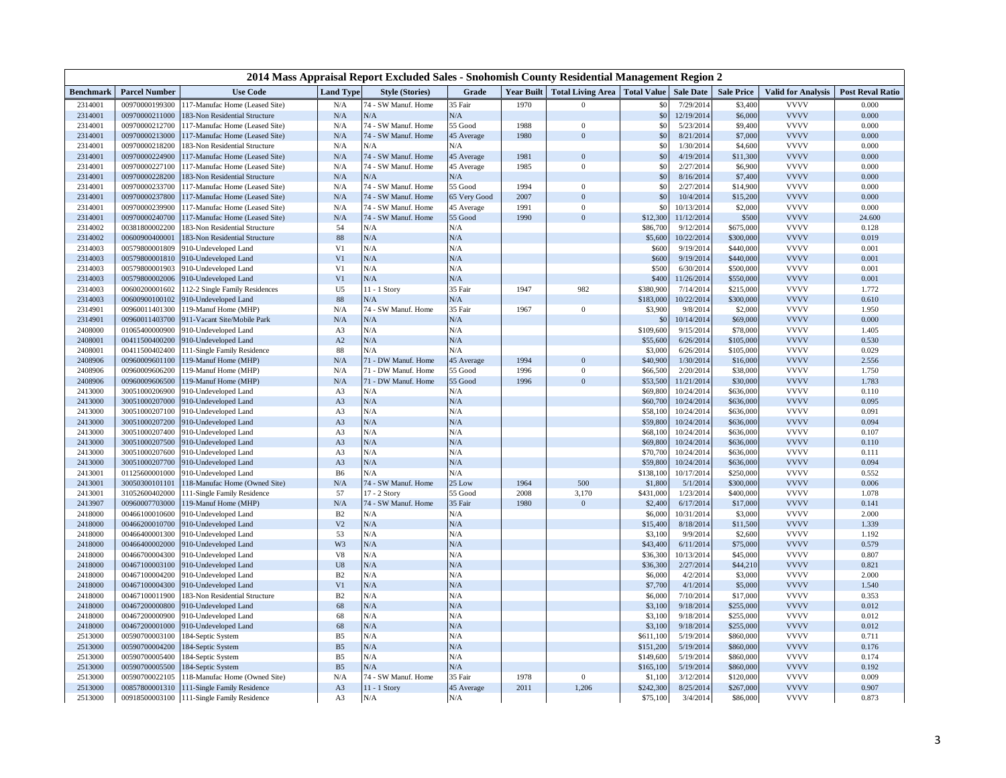| <b>Use Code</b><br><b>Year Built</b><br>Total Living Area   Total Value   Sale Date<br><b>Sale Price</b><br><b>Valid for Analysis</b><br><b>Post Reval Ratio</b><br><b>Benchmark</b><br><b>Parcel Number</b><br><b>Land Type</b><br><b>Style (Stories)</b><br>Grade<br>74 - SW Manuf. Home<br><b>VVVV</b><br>2314001<br>00970000199300<br>117-Manufac Home (Leased Site)<br>N/A<br>35 Fair<br>1970<br>\$0<br>7/29/2014<br>\$3,400<br>0.000<br>$\mathbf{0}$<br>N/A<br><b>VVVV</b><br>2314001<br>00970000211000<br>183-Non Residential Structure<br>$\rm N/A$<br>N/A<br>\$0<br>12/19/2014<br>\$6,000<br>0.000<br><b>VVVV</b><br>2314001<br>00970000212700<br>N/A<br>74 - SW Manuf. Home<br>55 Good<br>1988<br>$\mathbf{0}$<br>\$0<br>5/23/2014<br>\$9,400<br>0.000<br>117-Manufac Home (Leased Site)<br>74 - SW Manuf. Home<br><b>VVVV</b><br>2314001<br>00970000213000<br>17-Manufac Home (Leased Site)<br>$\rm N/A$<br>45 Average<br>1980<br>$\boldsymbol{0}$<br>\$0<br>8/21/2014<br>\$7,000<br>0.000<br><b>VVVV</b><br>\$0<br>2314001<br>00970000218200<br>83-Non Residential Structure<br>${\bf N/A}$<br>N/A<br>N/A<br>1/30/2014<br>0.000<br>\$4,600<br><b>VVVV</b><br>$\rm N/A$<br>74 - SW Manuf. Home<br>1981<br>\$0<br>0.000<br>2314001<br>00970000224900<br>17-Manufac Home (Leased Site)<br>45 Average<br>$\boldsymbol{0}$<br>4/19/2014<br>\$11,300<br><b>VVVV</b><br>2314001<br>00970000227100<br>$\rm N/A$<br>74 - SW Manuf. Home<br>45 Average<br>1985<br>$\boldsymbol{0}$<br>\$0<br>2/27/2014<br>0.000<br>\$6,900<br>17-Manufac Home (Leased Site)<br>00970000228200<br>N/A<br><b>VVVV</b><br>2314001<br>183-Non Residential Structure<br>$\rm N/A$<br>N/A<br>\$0<br>8/16/2014<br>\$7,400<br>0.000<br>74 - SW Manuf. Home<br><b>VVVV</b><br>2314001<br>00970000233700<br>N/A<br>55 Good<br>1994<br>$\mathbf{0}$<br>$$^{(1)}$$<br>2/27/2014<br>0.000<br>17-Manufac Home (Leased Site)<br>\$14,900<br>\$0<br><b>VVVV</b><br>2314001<br>00970000237800<br>117-Manufac Home (Leased Site)<br>$\rm N/A$<br>74 - SW Manuf. Home<br>65 Very Good<br>2007<br>$\Omega$<br>10/4/2014<br>\$15,200<br>0.000<br>$\mathcal{S}$<br><b>VVVV</b><br>2314001<br>00970000239900<br>${\bf N/A}$<br>74 - SW Manuf. Home<br>45 Average<br>1991<br>$\mathbf{0}$<br>10/13/2014<br>0.000<br>17-Manufac Home (Leased Site)<br>\$2,000<br>2314001<br>$\rm N/A$<br>74 - SW Manuf. Home<br>55 Good<br>1990<br>$\overline{0}$<br>\$12,300<br>11/12/2014<br><b>VVVV</b><br>00970000240700<br>\$500<br>24.600<br>17-Manufac Home (Leased Site)<br><b>VVVV</b><br>2314002<br>00381800002200<br>54<br>N/A<br>N/A<br>\$86,700<br>9/12/2014<br>\$675,000<br>0.128<br>183-Non Residential Structure<br>N/A<br>N/A<br>2314002<br>00600900400001<br>88<br>\$5,600<br>10/22/2014<br>\$300,000<br><b>VVVV</b><br>0.019<br>183-Non Residential Structure<br><b>VVVV</b><br>2314003<br>00579800001809<br>010-Undeveloped Land<br>V <sub>1</sub><br>N/A<br>N/A<br>\$600<br>9/19/2014<br>\$440,000<br>0.001<br>N/A<br>V <sub>1</sub><br>N/A<br><b>VVVV</b><br>\$600<br>9/19/2014<br>0.001<br>2314003<br>00579800001810<br>010-Undeveloped Land<br>\$440,000<br>V <sub>1</sub><br>N/A<br>N/A<br>\$500<br><b>VVVV</b><br>2314003<br>00579800001903<br>910-Undeveloped Land<br>6/30/2014<br>\$500,000<br>0.001<br><b>VVVV</b><br>2314003<br>V1<br>N/A<br>$\rm N/A$<br>\$400<br>11/26/2014<br>0.001<br>00579800002006<br>910-Undeveloped Land<br>\$550,000<br><b>VVVV</b><br>2314003<br>U <sub>5</sub><br>11 - 1 Story<br>35 Fair<br>1947<br>982<br>\$380,900<br>7/14/2014<br>1.772<br>00600200001602<br>12-2 Single Family Residences<br>\$215,000<br><b>VVVV</b><br>2314003<br>00600900100102<br>88<br>N/A<br>N/A<br>\$183,000<br>10/22/2014<br>0.610<br>910-Undeveloped Land<br>\$300,000<br>74 - SW Manuf. Home<br>${\bf N/A}$<br>35 Fair<br><b>VVVV</b><br>2314901<br>00960011401300<br>19-Manuf Home (MHP)<br>1967<br>$\mathbf{0}$<br>\$3,900<br>9/8/2014<br>\$2,000<br>1.950<br><b>VVVV</b><br>N/A<br>2314901<br>00960011403700<br>N/A<br>N/A<br>10/14/2014<br>0.000<br>911-Vacant Site/Mobile Park<br>$$^{0}$<br>\$69,000<br>N/A<br>N/A<br><b>VVVV</b><br>2408000<br>01065400000900<br>\$109,600<br>9/15/2014<br>\$78,000<br>1.405<br>910-Undeveloped Land<br>A <sub>3</sub><br>N/A<br>N/A<br><b>VVVV</b><br>0.530<br>2408001<br>00411500400200<br>010-Undeveloped Land<br>A2<br>\$55,600<br>6/26/2014<br>\$105,000<br>88<br>N/A<br><b>VVVV</b><br>2408001<br>00411500402400<br>111-Single Family Residence<br>N/A<br>\$3,000<br>6/26/2014<br>\$105,000<br>0.029<br>N/A<br>71 - DW Manuf. Home<br>45 Average<br>1994<br>\$40,900<br>1/30/2014<br><b>VVVV</b><br>2.556<br>2408906<br>00960009601100<br>19-Manuf Home (MHP)<br>$\bf{0}$<br>\$16,000<br><b>VVVV</b><br>N/A<br>$\mathbf{0}$<br>\$66,500<br>2/20/2014<br>2408906<br>00960009606200<br>19-Manuf Home (MHP)<br>71 - DW Manuf. Home<br>55 Good<br>1996<br>\$38,000<br>1.750<br><b>VVVV</b><br>71 - DW Manuf. Home<br>2408906<br>00960009606500<br>19-Manuf Home (MHP)<br>N/A<br>55 Good<br>$\mathbf{0}$<br>\$53,500<br>11/21/2014<br>1.783<br>1996<br>\$30,000<br><b>VVVV</b><br>2413000<br>30051000206900<br>910-Undeveloped Land<br>N/A<br>N/A<br>\$69,800<br>10/24/2014<br>\$636,000<br>0.110<br>A <sub>3</sub><br>$\rm N/A$<br>N/A<br><b>VVVV</b><br>2413000<br>30051000207000<br>910-Undeveloped Land<br>A3<br>\$60,700<br>10/24/2014<br>\$636,000<br>0.095<br>N/A<br>N/A<br>10/24/2014<br><b>VVVV</b><br>2413000<br>30051000207100<br>910-Undeveloped Land<br>A3<br>\$58,100<br>\$636,000<br>0.091<br>N/A<br>N/A<br><b>VVVV</b><br>2413000<br>30051000207200<br>910-Undeveloped Land<br>A <sub>3</sub><br>\$59,800<br>10/24/2014<br>\$636,000<br>0.094<br>N/A<br><b>VVVV</b><br>30051000207400<br>N/A<br>10/24/2014<br>2413000<br>010-Undeveloped Land<br>A <sub>3</sub><br>\$68,10<br>\$636,000<br>0.107<br>N/A<br>N/A<br><b>VVVV</b><br>010-Undeveloped Land<br>A <sub>3</sub><br>\$69,800<br>10/24/2014<br>0.110<br>2413000<br>30051000207500<br>\$636,000<br>N/A<br>N/A<br><b>VVVV</b><br>30051000207600<br>910-Undeveloped Land<br>A <sub>3</sub><br>\$70,700<br>10/24/2014<br>0.111<br>2413000<br>\$636,000<br>N/A<br>N/A<br>10/24/2014<br><b>VVVV</b><br>2413000<br>30051000207700<br>910-Undeveloped Land<br>A <sub>3</sub><br>\$59,800<br>\$636,000<br>0.094<br>01125600001000<br>N/A<br>N/A<br>\$138,100<br>10/17/2014<br><b>VVVV</b><br>0.552<br>2413001<br>910-Undeveloped Land<br>B <sub>6</sub><br>\$250,000<br><b>VVVV</b><br>74 - SW Manuf. Home<br>25 Low<br>\$1,800<br>0.006<br>2413001<br>30050300101101<br>118-Manufac Home (Owned Site)<br>N/A<br>1964<br>500<br>5/1/2014<br>\$300,000<br><b>VVVV</b><br>57<br>55 Good<br>3,170<br>2413001<br>31052600402000<br>111-Single Family Residence<br>17 - 2 Story<br>2008<br>\$431,000<br>1/23/2014<br>\$400,000<br>1.078<br><b>VVVV</b><br>N/A<br>74 - SW Manuf. Home<br>35 Fair<br>1980<br>$\mathbf{0}$<br>\$2,400<br>6/17/2014<br>0.141<br>2413907<br>00960007703000<br>19-Manuf Home (MHP)<br>\$17,000<br><b>VVVV</b><br>2418000<br>B <sub>2</sub><br>N/A<br>N/A<br>\$6,000<br>10/31/2014<br>2.000<br>00466100010600<br>910-Undeveloped Land<br>\$3,000<br>V <sub>2</sub><br>N/A<br>N/A<br>8/18/2014<br><b>VVVV</b><br>2418000<br>00466200010700<br>910-Undeveloped Land<br>\$15,400<br>\$11,500<br>1.339<br>N/A<br><b>VVVV</b><br>2418000<br>00466400001300<br>010-Undeveloped Land<br>53<br>N/A<br>\$3,100<br>9/9/2014<br>\$2,600<br>1.192<br>N/A<br><b>VVVV</b><br>N/A<br>\$43,400<br>0.579<br>2418000<br>00466400002000<br>910-Undeveloped Land<br>W <sub>3</sub><br>6/11/2014<br>\$75,000<br>$_{\rm V8}$<br>N/A<br>N/A<br><b>VVVV</b><br>0.807<br>2418000<br>00466700004300<br>010-Undeveloped Land<br>\$36,300<br>10/13/2014<br>\$45,000<br>N/A<br>N/A<br><b>VVVV</b><br>00467100003100<br>U8<br>\$36,300<br>2/27/2014<br>\$44,210<br>0.821<br>2418000<br>910-Undeveloped Land<br><b>VVVV</b><br>2418000<br>00467100004200<br>B2<br>N/A<br>N/A<br>\$6,000<br>4/2/2014<br>\$3,000<br>2.000<br>910-Undeveloped Land<br>N/A<br>V <sub>1</sub><br>N/A<br><b>VVVV</b><br>2418000<br>00467100004300<br>910-Undeveloped Land<br>\$7,700<br>4/1/2014<br>\$5,000<br>1.540<br><b>VVVV</b><br>2418000<br>00467100011900<br>183-Non Residential Structure<br>B2<br>N/A<br>N/A<br>\$6,000<br>7/10/2014<br>\$17,000<br>0.353<br>N/A<br><b>VVVV</b><br>N/A<br>00467200000800<br>010-Undeveloped Land<br>68<br>\$3,100<br>9/18/2014<br>\$255,000<br>0.012<br>2418000<br><b>VVVV</b><br>68<br>N/A<br>N/A<br>\$3,100<br>0.012<br>2418000<br>00467200000900<br>010-Undeveloped Land<br>9/18/2014<br>\$255,000<br><b>VVVV</b><br>2418000<br>00467200001000<br>68<br>N/A<br>N/A<br>\$3,100<br>9/18/2014<br>\$255,000<br>0.012<br>910-Undeveloped Land<br>N/A<br>N/A<br><b>VVVV</b><br>2513000<br>00590700003100<br>84-Septic System<br>B <sub>5</sub><br>\$611,100<br>5/19/2014<br>0.711<br>\$860,000<br>N/A<br><b>VVVV</b><br>2513000<br>00590700004200<br>B <sub>5</sub><br>N/A<br>\$151,200<br>5/19/2014<br>0.176<br>84-Septic System<br>\$860,000<br>N/A<br>N/A<br>2513000<br>00590700005400<br>84-Septic System<br>B <sub>5</sub><br>\$149,600<br>5/19/2014<br>\$860,000<br><b>VVVV</b><br>0.174<br>N/A<br>N/A<br><b>VVVV</b><br>2513000<br>B <sub>5</sub><br>\$165,100<br>5/19/2014<br>\$860,000<br>0.192<br>00590700005500<br>84-Septic System<br><b>VVVV</b><br>2513000<br>N/A<br>74 - SW Manuf. Home<br>0.009<br>00590700022105<br>18-Manufac Home (Owned Site)<br>35 Fair<br>1978<br>$\mathbf{0}$<br>\$1,10<br>3/12/2014<br>\$120,000<br><b>VVVV</b><br>2513000<br>A <sub>3</sub><br>11 - 1 Story<br>45 Average<br>2011<br>1,206<br>\$242,300<br>8/25/2014<br>0.907<br>00857800001310<br>111-Single Family Residence<br>\$267,000 | 2014 Mass Appraisal Report Excluded Sales - Snohomish County Residential Management Region 2 |  |  |                |     |     |  |  |          |          |          |             |       |
|---------------------------------------------------------------------------------------------------------------------------------------------------------------------------------------------------------------------------------------------------------------------------------------------------------------------------------------------------------------------------------------------------------------------------------------------------------------------------------------------------------------------------------------------------------------------------------------------------------------------------------------------------------------------------------------------------------------------------------------------------------------------------------------------------------------------------------------------------------------------------------------------------------------------------------------------------------------------------------------------------------------------------------------------------------------------------------------------------------------------------------------------------------------------------------------------------------------------------------------------------------------------------------------------------------------------------------------------------------------------------------------------------------------------------------------------------------------------------------------------------------------------------------------------------------------------------------------------------------------------------------------------------------------------------------------------------------------------------------------------------------------------------------------------------------------------------------------------------------------------------------------------------------------------------------------------------------------------------------------------------------------------------------------------------------------------------------------------------------------------------------------------------------------------------------------------------------------------------------------------------------------------------------------------------------------------------------------------------------------------------------------------------------------------------------------------------------------------------------------------------------------------------------------------------------------------------------------------------------------------------------------------------------------------------------------------------------------------------------------------------------------------------------------------------------------------------------------------------------------------------------------------------------------------------------------------------------------------------------------------------------------------------------------------------------------------------------------------------------------------------------------------------------------------------------------------------------------------------------------------------------------------------------------------------------------------------------------------------------------------------------------------------------------------------------------------------------------------------------------------------------------------------------------------------------------------------------------------------------------------------------------------------------------------------------------------------------------------------------------------------------------------------------------------------------------------------------------------------------------------------------------------------------------------------------------------------------------------------------------------------------------------------------------------------------------------------------------------------------------------------------------------------------------------------------------------------------------------------------------------------------------------------------------------------------------------------------------------------------------------------------------------------------------------------------------------------------------------------------------------------------------------------------------------------------------------------------------------------------------------------------------------------------------------------------------------------------------------------------------------------------------------------------------------------------------------------------------------------------------------------------------------------------------------------------------------------------------------------------------------------------------------------------------------------------------------------------------------------------------------------------------------------------------------------------------------------------------------------------------------------------------------------------------------------------------------------------------------------------------------------------------------------------------------------------------------------------------------------------------------------------------------------------------------------------------------------------------------------------------------------------------------------------------------------------------------------------------------------------------------------------------------------------------------------------------------------------------------------------------------------------------------------------------------------------------------------------------------------------------------------------------------------------------------------------------------------------------------------------------------------------------------------------------------------------------------------------------------------------------------------------------------------------------------------------------------------------------------------------------------------------------------------------------------------------------------------------------------------------------------------------------------------------------------------------------------------------------------------------------------------------------------------------------------------------------------------------------------------------------------------------------------------------------------------------------------------------------------------------------------------------------------------------------------------------------------------------------------------------------------------------------------------------------------------------------------------------------------------------------------------------------------------------------------------------------------------------------------------------------------------------------------------------------------------------------------------------------------------------------------------------------------------------------------------------------------------------------------------------------------------------------------------------------------------------------------------------------------------------------------------------------------------------------------------------------------------------------------------------------------------------------------------------------------------------------------------------------------------------------------------------------------------------------------------------------------------------------------------------------------------------------------------------------------------------------------------------------------------------------------------------------------------------------------------------------------------------------------------------------------------------------------------------------------------------------------------------------------------------------------------------------------------------------------------------------------------------------------------------------------------------------------------------------------------------------------------------------------------------------------------------------------------------------------------------------------------------------------------------------------------------------------------------------------------------------------------------------------------------------------------------------------------------------------------------------------------------------------------------------------------------------------------------------------------------------------------------------------------------------------------------------------------------------------------------------------------------------------------------------------------------------------------------------------------------------------------------------------------------------------------------------------------------------------------------------------------------------------------------------------------------------------------------------------------------------------------------------------------------------------------------------------------------------------------------------------------------------------------------|----------------------------------------------------------------------------------------------|--|--|----------------|-----|-----|--|--|----------|----------|----------|-------------|-------|
|                                                                                                                                                                                                                                                                                                                                                                                                                                                                                                                                                                                                                                                                                                                                                                                                                                                                                                                                                                                                                                                                                                                                                                                                                                                                                                                                                                                                                                                                                                                                                                                                                                                                                                                                                                                                                                                                                                                                                                                                                                                                                                                                                                                                                                                                                                                                                                                                                                                                                                                                                                                                                                                                                                                                                                                                                                                                                                                                                                                                                                                                                                                                                                                                                                                                                                                                                                                                                                                                                                                                                                                                                                                                                                                                                                                                                                                                                                                                                                                                                                                                                                                                                                                                                                                                                                                                                                                                                                                                                                                                                                                                                                                                                                                                                                                                                                                                                                                                                                                                                                                                                                                                                                                                                                                                                                                                                                                                                                                                                                                                                                                                                                                                                                                                                                                                                                                                                                                                                                                                                                                                                                                                                                                                                                                                                                                                                                                                                                                                                                                                                                                                                                                                                                                                                                                                                                                                                                                                                                                                                                                                                                                                                                                                                                                                                                                                                                                                                                                                                                                                                                                                                                                                                                                                                                                                                                                                                                                                                                                                                                                                                                                                                                                                                                                                                                                                                                                                                                                                                                                                                                                                                                                                                                                                                                                                                                                                                                                                                                                                                                                                                                                                                                                                                                                                                                                                                                                                                                                                                                                                                                                                                                                                                                                                 |                                                                                              |  |  |                |     |     |  |  |          |          |          |             |       |
|                                                                                                                                                                                                                                                                                                                                                                                                                                                                                                                                                                                                                                                                                                                                                                                                                                                                                                                                                                                                                                                                                                                                                                                                                                                                                                                                                                                                                                                                                                                                                                                                                                                                                                                                                                                                                                                                                                                                                                                                                                                                                                                                                                                                                                                                                                                                                                                                                                                                                                                                                                                                                                                                                                                                                                                                                                                                                                                                                                                                                                                                                                                                                                                                                                                                                                                                                                                                                                                                                                                                                                                                                                                                                                                                                                                                                                                                                                                                                                                                                                                                                                                                                                                                                                                                                                                                                                                                                                                                                                                                                                                                                                                                                                                                                                                                                                                                                                                                                                                                                                                                                                                                                                                                                                                                                                                                                                                                                                                                                                                                                                                                                                                                                                                                                                                                                                                                                                                                                                                                                                                                                                                                                                                                                                                                                                                                                                                                                                                                                                                                                                                                                                                                                                                                                                                                                                                                                                                                                                                                                                                                                                                                                                                                                                                                                                                                                                                                                                                                                                                                                                                                                                                                                                                                                                                                                                                                                                                                                                                                                                                                                                                                                                                                                                                                                                                                                                                                                                                                                                                                                                                                                                                                                                                                                                                                                                                                                                                                                                                                                                                                                                                                                                                                                                                                                                                                                                                                                                                                                                                                                                                                                                                                                                                                 |                                                                                              |  |  |                |     |     |  |  |          |          |          |             |       |
|                                                                                                                                                                                                                                                                                                                                                                                                                                                                                                                                                                                                                                                                                                                                                                                                                                                                                                                                                                                                                                                                                                                                                                                                                                                                                                                                                                                                                                                                                                                                                                                                                                                                                                                                                                                                                                                                                                                                                                                                                                                                                                                                                                                                                                                                                                                                                                                                                                                                                                                                                                                                                                                                                                                                                                                                                                                                                                                                                                                                                                                                                                                                                                                                                                                                                                                                                                                                                                                                                                                                                                                                                                                                                                                                                                                                                                                                                                                                                                                                                                                                                                                                                                                                                                                                                                                                                                                                                                                                                                                                                                                                                                                                                                                                                                                                                                                                                                                                                                                                                                                                                                                                                                                                                                                                                                                                                                                                                                                                                                                                                                                                                                                                                                                                                                                                                                                                                                                                                                                                                                                                                                                                                                                                                                                                                                                                                                                                                                                                                                                                                                                                                                                                                                                                                                                                                                                                                                                                                                                                                                                                                                                                                                                                                                                                                                                                                                                                                                                                                                                                                                                                                                                                                                                                                                                                                                                                                                                                                                                                                                                                                                                                                                                                                                                                                                                                                                                                                                                                                                                                                                                                                                                                                                                                                                                                                                                                                                                                                                                                                                                                                                                                                                                                                                                                                                                                                                                                                                                                                                                                                                                                                                                                                                                                 |                                                                                              |  |  |                |     |     |  |  |          |          |          |             |       |
|                                                                                                                                                                                                                                                                                                                                                                                                                                                                                                                                                                                                                                                                                                                                                                                                                                                                                                                                                                                                                                                                                                                                                                                                                                                                                                                                                                                                                                                                                                                                                                                                                                                                                                                                                                                                                                                                                                                                                                                                                                                                                                                                                                                                                                                                                                                                                                                                                                                                                                                                                                                                                                                                                                                                                                                                                                                                                                                                                                                                                                                                                                                                                                                                                                                                                                                                                                                                                                                                                                                                                                                                                                                                                                                                                                                                                                                                                                                                                                                                                                                                                                                                                                                                                                                                                                                                                                                                                                                                                                                                                                                                                                                                                                                                                                                                                                                                                                                                                                                                                                                                                                                                                                                                                                                                                                                                                                                                                                                                                                                                                                                                                                                                                                                                                                                                                                                                                                                                                                                                                                                                                                                                                                                                                                                                                                                                                                                                                                                                                                                                                                                                                                                                                                                                                                                                                                                                                                                                                                                                                                                                                                                                                                                                                                                                                                                                                                                                                                                                                                                                                                                                                                                                                                                                                                                                                                                                                                                                                                                                                                                                                                                                                                                                                                                                                                                                                                                                                                                                                                                                                                                                                                                                                                                                                                                                                                                                                                                                                                                                                                                                                                                                                                                                                                                                                                                                                                                                                                                                                                                                                                                                                                                                                                                                 |                                                                                              |  |  |                |     |     |  |  |          |          |          |             |       |
|                                                                                                                                                                                                                                                                                                                                                                                                                                                                                                                                                                                                                                                                                                                                                                                                                                                                                                                                                                                                                                                                                                                                                                                                                                                                                                                                                                                                                                                                                                                                                                                                                                                                                                                                                                                                                                                                                                                                                                                                                                                                                                                                                                                                                                                                                                                                                                                                                                                                                                                                                                                                                                                                                                                                                                                                                                                                                                                                                                                                                                                                                                                                                                                                                                                                                                                                                                                                                                                                                                                                                                                                                                                                                                                                                                                                                                                                                                                                                                                                                                                                                                                                                                                                                                                                                                                                                                                                                                                                                                                                                                                                                                                                                                                                                                                                                                                                                                                                                                                                                                                                                                                                                                                                                                                                                                                                                                                                                                                                                                                                                                                                                                                                                                                                                                                                                                                                                                                                                                                                                                                                                                                                                                                                                                                                                                                                                                                                                                                                                                                                                                                                                                                                                                                                                                                                                                                                                                                                                                                                                                                                                                                                                                                                                                                                                                                                                                                                                                                                                                                                                                                                                                                                                                                                                                                                                                                                                                                                                                                                                                                                                                                                                                                                                                                                                                                                                                                                                                                                                                                                                                                                                                                                                                                                                                                                                                                                                                                                                                                                                                                                                                                                                                                                                                                                                                                                                                                                                                                                                                                                                                                                                                                                                                                                 |                                                                                              |  |  |                |     |     |  |  |          |          |          |             |       |
|                                                                                                                                                                                                                                                                                                                                                                                                                                                                                                                                                                                                                                                                                                                                                                                                                                                                                                                                                                                                                                                                                                                                                                                                                                                                                                                                                                                                                                                                                                                                                                                                                                                                                                                                                                                                                                                                                                                                                                                                                                                                                                                                                                                                                                                                                                                                                                                                                                                                                                                                                                                                                                                                                                                                                                                                                                                                                                                                                                                                                                                                                                                                                                                                                                                                                                                                                                                                                                                                                                                                                                                                                                                                                                                                                                                                                                                                                                                                                                                                                                                                                                                                                                                                                                                                                                                                                                                                                                                                                                                                                                                                                                                                                                                                                                                                                                                                                                                                                                                                                                                                                                                                                                                                                                                                                                                                                                                                                                                                                                                                                                                                                                                                                                                                                                                                                                                                                                                                                                                                                                                                                                                                                                                                                                                                                                                                                                                                                                                                                                                                                                                                                                                                                                                                                                                                                                                                                                                                                                                                                                                                                                                                                                                                                                                                                                                                                                                                                                                                                                                                                                                                                                                                                                                                                                                                                                                                                                                                                                                                                                                                                                                                                                                                                                                                                                                                                                                                                                                                                                                                                                                                                                                                                                                                                                                                                                                                                                                                                                                                                                                                                                                                                                                                                                                                                                                                                                                                                                                                                                                                                                                                                                                                                                                                 |                                                                                              |  |  |                |     |     |  |  |          |          |          |             |       |
|                                                                                                                                                                                                                                                                                                                                                                                                                                                                                                                                                                                                                                                                                                                                                                                                                                                                                                                                                                                                                                                                                                                                                                                                                                                                                                                                                                                                                                                                                                                                                                                                                                                                                                                                                                                                                                                                                                                                                                                                                                                                                                                                                                                                                                                                                                                                                                                                                                                                                                                                                                                                                                                                                                                                                                                                                                                                                                                                                                                                                                                                                                                                                                                                                                                                                                                                                                                                                                                                                                                                                                                                                                                                                                                                                                                                                                                                                                                                                                                                                                                                                                                                                                                                                                                                                                                                                                                                                                                                                                                                                                                                                                                                                                                                                                                                                                                                                                                                                                                                                                                                                                                                                                                                                                                                                                                                                                                                                                                                                                                                                                                                                                                                                                                                                                                                                                                                                                                                                                                                                                                                                                                                                                                                                                                                                                                                                                                                                                                                                                                                                                                                                                                                                                                                                                                                                                                                                                                                                                                                                                                                                                                                                                                                                                                                                                                                                                                                                                                                                                                                                                                                                                                                                                                                                                                                                                                                                                                                                                                                                                                                                                                                                                                                                                                                                                                                                                                                                                                                                                                                                                                                                                                                                                                                                                                                                                                                                                                                                                                                                                                                                                                                                                                                                                                                                                                                                                                                                                                                                                                                                                                                                                                                                                                                 |                                                                                              |  |  |                |     |     |  |  |          |          |          |             |       |
|                                                                                                                                                                                                                                                                                                                                                                                                                                                                                                                                                                                                                                                                                                                                                                                                                                                                                                                                                                                                                                                                                                                                                                                                                                                                                                                                                                                                                                                                                                                                                                                                                                                                                                                                                                                                                                                                                                                                                                                                                                                                                                                                                                                                                                                                                                                                                                                                                                                                                                                                                                                                                                                                                                                                                                                                                                                                                                                                                                                                                                                                                                                                                                                                                                                                                                                                                                                                                                                                                                                                                                                                                                                                                                                                                                                                                                                                                                                                                                                                                                                                                                                                                                                                                                                                                                                                                                                                                                                                                                                                                                                                                                                                                                                                                                                                                                                                                                                                                                                                                                                                                                                                                                                                                                                                                                                                                                                                                                                                                                                                                                                                                                                                                                                                                                                                                                                                                                                                                                                                                                                                                                                                                                                                                                                                                                                                                                                                                                                                                                                                                                                                                                                                                                                                                                                                                                                                                                                                                                                                                                                                                                                                                                                                                                                                                                                                                                                                                                                                                                                                                                                                                                                                                                                                                                                                                                                                                                                                                                                                                                                                                                                                                                                                                                                                                                                                                                                                                                                                                                                                                                                                                                                                                                                                                                                                                                                                                                                                                                                                                                                                                                                                                                                                                                                                                                                                                                                                                                                                                                                                                                                                                                                                                                                                 |                                                                                              |  |  |                |     |     |  |  |          |          |          |             |       |
|                                                                                                                                                                                                                                                                                                                                                                                                                                                                                                                                                                                                                                                                                                                                                                                                                                                                                                                                                                                                                                                                                                                                                                                                                                                                                                                                                                                                                                                                                                                                                                                                                                                                                                                                                                                                                                                                                                                                                                                                                                                                                                                                                                                                                                                                                                                                                                                                                                                                                                                                                                                                                                                                                                                                                                                                                                                                                                                                                                                                                                                                                                                                                                                                                                                                                                                                                                                                                                                                                                                                                                                                                                                                                                                                                                                                                                                                                                                                                                                                                                                                                                                                                                                                                                                                                                                                                                                                                                                                                                                                                                                                                                                                                                                                                                                                                                                                                                                                                                                                                                                                                                                                                                                                                                                                                                                                                                                                                                                                                                                                                                                                                                                                                                                                                                                                                                                                                                                                                                                                                                                                                                                                                                                                                                                                                                                                                                                                                                                                                                                                                                                                                                                                                                                                                                                                                                                                                                                                                                                                                                                                                                                                                                                                                                                                                                                                                                                                                                                                                                                                                                                                                                                                                                                                                                                                                                                                                                                                                                                                                                                                                                                                                                                                                                                                                                                                                                                                                                                                                                                                                                                                                                                                                                                                                                                                                                                                                                                                                                                                                                                                                                                                                                                                                                                                                                                                                                                                                                                                                                                                                                                                                                                                                                                                 |                                                                                              |  |  |                |     |     |  |  |          |          |          |             |       |
|                                                                                                                                                                                                                                                                                                                                                                                                                                                                                                                                                                                                                                                                                                                                                                                                                                                                                                                                                                                                                                                                                                                                                                                                                                                                                                                                                                                                                                                                                                                                                                                                                                                                                                                                                                                                                                                                                                                                                                                                                                                                                                                                                                                                                                                                                                                                                                                                                                                                                                                                                                                                                                                                                                                                                                                                                                                                                                                                                                                                                                                                                                                                                                                                                                                                                                                                                                                                                                                                                                                                                                                                                                                                                                                                                                                                                                                                                                                                                                                                                                                                                                                                                                                                                                                                                                                                                                                                                                                                                                                                                                                                                                                                                                                                                                                                                                                                                                                                                                                                                                                                                                                                                                                                                                                                                                                                                                                                                                                                                                                                                                                                                                                                                                                                                                                                                                                                                                                                                                                                                                                                                                                                                                                                                                                                                                                                                                                                                                                                                                                                                                                                                                                                                                                                                                                                                                                                                                                                                                                                                                                                                                                                                                                                                                                                                                                                                                                                                                                                                                                                                                                                                                                                                                                                                                                                                                                                                                                                                                                                                                                                                                                                                                                                                                                                                                                                                                                                                                                                                                                                                                                                                                                                                                                                                                                                                                                                                                                                                                                                                                                                                                                                                                                                                                                                                                                                                                                                                                                                                                                                                                                                                                                                                                                                 |                                                                                              |  |  |                |     |     |  |  |          |          |          |             |       |
|                                                                                                                                                                                                                                                                                                                                                                                                                                                                                                                                                                                                                                                                                                                                                                                                                                                                                                                                                                                                                                                                                                                                                                                                                                                                                                                                                                                                                                                                                                                                                                                                                                                                                                                                                                                                                                                                                                                                                                                                                                                                                                                                                                                                                                                                                                                                                                                                                                                                                                                                                                                                                                                                                                                                                                                                                                                                                                                                                                                                                                                                                                                                                                                                                                                                                                                                                                                                                                                                                                                                                                                                                                                                                                                                                                                                                                                                                                                                                                                                                                                                                                                                                                                                                                                                                                                                                                                                                                                                                                                                                                                                                                                                                                                                                                                                                                                                                                                                                                                                                                                                                                                                                                                                                                                                                                                                                                                                                                                                                                                                                                                                                                                                                                                                                                                                                                                                                                                                                                                                                                                                                                                                                                                                                                                                                                                                                                                                                                                                                                                                                                                                                                                                                                                                                                                                                                                                                                                                                                                                                                                                                                                                                                                                                                                                                                                                                                                                                                                                                                                                                                                                                                                                                                                                                                                                                                                                                                                                                                                                                                                                                                                                                                                                                                                                                                                                                                                                                                                                                                                                                                                                                                                                                                                                                                                                                                                                                                                                                                                                                                                                                                                                                                                                                                                                                                                                                                                                                                                                                                                                                                                                                                                                                                                                 |                                                                                              |  |  |                |     |     |  |  |          |          |          |             |       |
|                                                                                                                                                                                                                                                                                                                                                                                                                                                                                                                                                                                                                                                                                                                                                                                                                                                                                                                                                                                                                                                                                                                                                                                                                                                                                                                                                                                                                                                                                                                                                                                                                                                                                                                                                                                                                                                                                                                                                                                                                                                                                                                                                                                                                                                                                                                                                                                                                                                                                                                                                                                                                                                                                                                                                                                                                                                                                                                                                                                                                                                                                                                                                                                                                                                                                                                                                                                                                                                                                                                                                                                                                                                                                                                                                                                                                                                                                                                                                                                                                                                                                                                                                                                                                                                                                                                                                                                                                                                                                                                                                                                                                                                                                                                                                                                                                                                                                                                                                                                                                                                                                                                                                                                                                                                                                                                                                                                                                                                                                                                                                                                                                                                                                                                                                                                                                                                                                                                                                                                                                                                                                                                                                                                                                                                                                                                                                                                                                                                                                                                                                                                                                                                                                                                                                                                                                                                                                                                                                                                                                                                                                                                                                                                                                                                                                                                                                                                                                                                                                                                                                                                                                                                                                                                                                                                                                                                                                                                                                                                                                                                                                                                                                                                                                                                                                                                                                                                                                                                                                                                                                                                                                                                                                                                                                                                                                                                                                                                                                                                                                                                                                                                                                                                                                                                                                                                                                                                                                                                                                                                                                                                                                                                                                                                                 |                                                                                              |  |  |                |     |     |  |  |          |          |          |             |       |
|                                                                                                                                                                                                                                                                                                                                                                                                                                                                                                                                                                                                                                                                                                                                                                                                                                                                                                                                                                                                                                                                                                                                                                                                                                                                                                                                                                                                                                                                                                                                                                                                                                                                                                                                                                                                                                                                                                                                                                                                                                                                                                                                                                                                                                                                                                                                                                                                                                                                                                                                                                                                                                                                                                                                                                                                                                                                                                                                                                                                                                                                                                                                                                                                                                                                                                                                                                                                                                                                                                                                                                                                                                                                                                                                                                                                                                                                                                                                                                                                                                                                                                                                                                                                                                                                                                                                                                                                                                                                                                                                                                                                                                                                                                                                                                                                                                                                                                                                                                                                                                                                                                                                                                                                                                                                                                                                                                                                                                                                                                                                                                                                                                                                                                                                                                                                                                                                                                                                                                                                                                                                                                                                                                                                                                                                                                                                                                                                                                                                                                                                                                                                                                                                                                                                                                                                                                                                                                                                                                                                                                                                                                                                                                                                                                                                                                                                                                                                                                                                                                                                                                                                                                                                                                                                                                                                                                                                                                                                                                                                                                                                                                                                                                                                                                                                                                                                                                                                                                                                                                                                                                                                                                                                                                                                                                                                                                                                                                                                                                                                                                                                                                                                                                                                                                                                                                                                                                                                                                                                                                                                                                                                                                                                                                                                 |                                                                                              |  |  |                |     |     |  |  |          |          |          |             |       |
|                                                                                                                                                                                                                                                                                                                                                                                                                                                                                                                                                                                                                                                                                                                                                                                                                                                                                                                                                                                                                                                                                                                                                                                                                                                                                                                                                                                                                                                                                                                                                                                                                                                                                                                                                                                                                                                                                                                                                                                                                                                                                                                                                                                                                                                                                                                                                                                                                                                                                                                                                                                                                                                                                                                                                                                                                                                                                                                                                                                                                                                                                                                                                                                                                                                                                                                                                                                                                                                                                                                                                                                                                                                                                                                                                                                                                                                                                                                                                                                                                                                                                                                                                                                                                                                                                                                                                                                                                                                                                                                                                                                                                                                                                                                                                                                                                                                                                                                                                                                                                                                                                                                                                                                                                                                                                                                                                                                                                                                                                                                                                                                                                                                                                                                                                                                                                                                                                                                                                                                                                                                                                                                                                                                                                                                                                                                                                                                                                                                                                                                                                                                                                                                                                                                                                                                                                                                                                                                                                                                                                                                                                                                                                                                                                                                                                                                                                                                                                                                                                                                                                                                                                                                                                                                                                                                                                                                                                                                                                                                                                                                                                                                                                                                                                                                                                                                                                                                                                                                                                                                                                                                                                                                                                                                                                                                                                                                                                                                                                                                                                                                                                                                                                                                                                                                                                                                                                                                                                                                                                                                                                                                                                                                                                                                                 |                                                                                              |  |  |                |     |     |  |  |          |          |          |             |       |
|                                                                                                                                                                                                                                                                                                                                                                                                                                                                                                                                                                                                                                                                                                                                                                                                                                                                                                                                                                                                                                                                                                                                                                                                                                                                                                                                                                                                                                                                                                                                                                                                                                                                                                                                                                                                                                                                                                                                                                                                                                                                                                                                                                                                                                                                                                                                                                                                                                                                                                                                                                                                                                                                                                                                                                                                                                                                                                                                                                                                                                                                                                                                                                                                                                                                                                                                                                                                                                                                                                                                                                                                                                                                                                                                                                                                                                                                                                                                                                                                                                                                                                                                                                                                                                                                                                                                                                                                                                                                                                                                                                                                                                                                                                                                                                                                                                                                                                                                                                                                                                                                                                                                                                                                                                                                                                                                                                                                                                                                                                                                                                                                                                                                                                                                                                                                                                                                                                                                                                                                                                                                                                                                                                                                                                                                                                                                                                                                                                                                                                                                                                                                                                                                                                                                                                                                                                                                                                                                                                                                                                                                                                                                                                                                                                                                                                                                                                                                                                                                                                                                                                                                                                                                                                                                                                                                                                                                                                                                                                                                                                                                                                                                                                                                                                                                                                                                                                                                                                                                                                                                                                                                                                                                                                                                                                                                                                                                                                                                                                                                                                                                                                                                                                                                                                                                                                                                                                                                                                                                                                                                                                                                                                                                                                                                 |                                                                                              |  |  |                |     |     |  |  |          |          |          |             |       |
|                                                                                                                                                                                                                                                                                                                                                                                                                                                                                                                                                                                                                                                                                                                                                                                                                                                                                                                                                                                                                                                                                                                                                                                                                                                                                                                                                                                                                                                                                                                                                                                                                                                                                                                                                                                                                                                                                                                                                                                                                                                                                                                                                                                                                                                                                                                                                                                                                                                                                                                                                                                                                                                                                                                                                                                                                                                                                                                                                                                                                                                                                                                                                                                                                                                                                                                                                                                                                                                                                                                                                                                                                                                                                                                                                                                                                                                                                                                                                                                                                                                                                                                                                                                                                                                                                                                                                                                                                                                                                                                                                                                                                                                                                                                                                                                                                                                                                                                                                                                                                                                                                                                                                                                                                                                                                                                                                                                                                                                                                                                                                                                                                                                                                                                                                                                                                                                                                                                                                                                                                                                                                                                                                                                                                                                                                                                                                                                                                                                                                                                                                                                                                                                                                                                                                                                                                                                                                                                                                                                                                                                                                                                                                                                                                                                                                                                                                                                                                                                                                                                                                                                                                                                                                                                                                                                                                                                                                                                                                                                                                                                                                                                                                                                                                                                                                                                                                                                                                                                                                                                                                                                                                                                                                                                                                                                                                                                                                                                                                                                                                                                                                                                                                                                                                                                                                                                                                                                                                                                                                                                                                                                                                                                                                                                                 |                                                                                              |  |  |                |     |     |  |  |          |          |          |             |       |
|                                                                                                                                                                                                                                                                                                                                                                                                                                                                                                                                                                                                                                                                                                                                                                                                                                                                                                                                                                                                                                                                                                                                                                                                                                                                                                                                                                                                                                                                                                                                                                                                                                                                                                                                                                                                                                                                                                                                                                                                                                                                                                                                                                                                                                                                                                                                                                                                                                                                                                                                                                                                                                                                                                                                                                                                                                                                                                                                                                                                                                                                                                                                                                                                                                                                                                                                                                                                                                                                                                                                                                                                                                                                                                                                                                                                                                                                                                                                                                                                                                                                                                                                                                                                                                                                                                                                                                                                                                                                                                                                                                                                                                                                                                                                                                                                                                                                                                                                                                                                                                                                                                                                                                                                                                                                                                                                                                                                                                                                                                                                                                                                                                                                                                                                                                                                                                                                                                                                                                                                                                                                                                                                                                                                                                                                                                                                                                                                                                                                                                                                                                                                                                                                                                                                                                                                                                                                                                                                                                                                                                                                                                                                                                                                                                                                                                                                                                                                                                                                                                                                                                                                                                                                                                                                                                                                                                                                                                                                                                                                                                                                                                                                                                                                                                                                                                                                                                                                                                                                                                                                                                                                                                                                                                                                                                                                                                                                                                                                                                                                                                                                                                                                                                                                                                                                                                                                                                                                                                                                                                                                                                                                                                                                                                                                 |                                                                                              |  |  |                |     |     |  |  |          |          |          |             |       |
|                                                                                                                                                                                                                                                                                                                                                                                                                                                                                                                                                                                                                                                                                                                                                                                                                                                                                                                                                                                                                                                                                                                                                                                                                                                                                                                                                                                                                                                                                                                                                                                                                                                                                                                                                                                                                                                                                                                                                                                                                                                                                                                                                                                                                                                                                                                                                                                                                                                                                                                                                                                                                                                                                                                                                                                                                                                                                                                                                                                                                                                                                                                                                                                                                                                                                                                                                                                                                                                                                                                                                                                                                                                                                                                                                                                                                                                                                                                                                                                                                                                                                                                                                                                                                                                                                                                                                                                                                                                                                                                                                                                                                                                                                                                                                                                                                                                                                                                                                                                                                                                                                                                                                                                                                                                                                                                                                                                                                                                                                                                                                                                                                                                                                                                                                                                                                                                                                                                                                                                                                                                                                                                                                                                                                                                                                                                                                                                                                                                                                                                                                                                                                                                                                                                                                                                                                                                                                                                                                                                                                                                                                                                                                                                                                                                                                                                                                                                                                                                                                                                                                                                                                                                                                                                                                                                                                                                                                                                                                                                                                                                                                                                                                                                                                                                                                                                                                                                                                                                                                                                                                                                                                                                                                                                                                                                                                                                                                                                                                                                                                                                                                                                                                                                                                                                                                                                                                                                                                                                                                                                                                                                                                                                                                                                                 |                                                                                              |  |  |                |     |     |  |  |          |          |          |             |       |
|                                                                                                                                                                                                                                                                                                                                                                                                                                                                                                                                                                                                                                                                                                                                                                                                                                                                                                                                                                                                                                                                                                                                                                                                                                                                                                                                                                                                                                                                                                                                                                                                                                                                                                                                                                                                                                                                                                                                                                                                                                                                                                                                                                                                                                                                                                                                                                                                                                                                                                                                                                                                                                                                                                                                                                                                                                                                                                                                                                                                                                                                                                                                                                                                                                                                                                                                                                                                                                                                                                                                                                                                                                                                                                                                                                                                                                                                                                                                                                                                                                                                                                                                                                                                                                                                                                                                                                                                                                                                                                                                                                                                                                                                                                                                                                                                                                                                                                                                                                                                                                                                                                                                                                                                                                                                                                                                                                                                                                                                                                                                                                                                                                                                                                                                                                                                                                                                                                                                                                                                                                                                                                                                                                                                                                                                                                                                                                                                                                                                                                                                                                                                                                                                                                                                                                                                                                                                                                                                                                                                                                                                                                                                                                                                                                                                                                                                                                                                                                                                                                                                                                                                                                                                                                                                                                                                                                                                                                                                                                                                                                                                                                                                                                                                                                                                                                                                                                                                                                                                                                                                                                                                                                                                                                                                                                                                                                                                                                                                                                                                                                                                                                                                                                                                                                                                                                                                                                                                                                                                                                                                                                                                                                                                                                                                 |                                                                                              |  |  |                |     |     |  |  |          |          |          |             |       |
|                                                                                                                                                                                                                                                                                                                                                                                                                                                                                                                                                                                                                                                                                                                                                                                                                                                                                                                                                                                                                                                                                                                                                                                                                                                                                                                                                                                                                                                                                                                                                                                                                                                                                                                                                                                                                                                                                                                                                                                                                                                                                                                                                                                                                                                                                                                                                                                                                                                                                                                                                                                                                                                                                                                                                                                                                                                                                                                                                                                                                                                                                                                                                                                                                                                                                                                                                                                                                                                                                                                                                                                                                                                                                                                                                                                                                                                                                                                                                                                                                                                                                                                                                                                                                                                                                                                                                                                                                                                                                                                                                                                                                                                                                                                                                                                                                                                                                                                                                                                                                                                                                                                                                                                                                                                                                                                                                                                                                                                                                                                                                                                                                                                                                                                                                                                                                                                                                                                                                                                                                                                                                                                                                                                                                                                                                                                                                                                                                                                                                                                                                                                                                                                                                                                                                                                                                                                                                                                                                                                                                                                                                                                                                                                                                                                                                                                                                                                                                                                                                                                                                                                                                                                                                                                                                                                                                                                                                                                                                                                                                                                                                                                                                                                                                                                                                                                                                                                                                                                                                                                                                                                                                                                                                                                                                                                                                                                                                                                                                                                                                                                                                                                                                                                                                                                                                                                                                                                                                                                                                                                                                                                                                                                                                                                                 |                                                                                              |  |  |                |     |     |  |  |          |          |          |             |       |
|                                                                                                                                                                                                                                                                                                                                                                                                                                                                                                                                                                                                                                                                                                                                                                                                                                                                                                                                                                                                                                                                                                                                                                                                                                                                                                                                                                                                                                                                                                                                                                                                                                                                                                                                                                                                                                                                                                                                                                                                                                                                                                                                                                                                                                                                                                                                                                                                                                                                                                                                                                                                                                                                                                                                                                                                                                                                                                                                                                                                                                                                                                                                                                                                                                                                                                                                                                                                                                                                                                                                                                                                                                                                                                                                                                                                                                                                                                                                                                                                                                                                                                                                                                                                                                                                                                                                                                                                                                                                                                                                                                                                                                                                                                                                                                                                                                                                                                                                                                                                                                                                                                                                                                                                                                                                                                                                                                                                                                                                                                                                                                                                                                                                                                                                                                                                                                                                                                                                                                                                                                                                                                                                                                                                                                                                                                                                                                                                                                                                                                                                                                                                                                                                                                                                                                                                                                                                                                                                                                                                                                                                                                                                                                                                                                                                                                                                                                                                                                                                                                                                                                                                                                                                                                                                                                                                                                                                                                                                                                                                                                                                                                                                                                                                                                                                                                                                                                                                                                                                                                                                                                                                                                                                                                                                                                                                                                                                                                                                                                                                                                                                                                                                                                                                                                                                                                                                                                                                                                                                                                                                                                                                                                                                                                                                 |                                                                                              |  |  |                |     |     |  |  |          |          |          |             |       |
|                                                                                                                                                                                                                                                                                                                                                                                                                                                                                                                                                                                                                                                                                                                                                                                                                                                                                                                                                                                                                                                                                                                                                                                                                                                                                                                                                                                                                                                                                                                                                                                                                                                                                                                                                                                                                                                                                                                                                                                                                                                                                                                                                                                                                                                                                                                                                                                                                                                                                                                                                                                                                                                                                                                                                                                                                                                                                                                                                                                                                                                                                                                                                                                                                                                                                                                                                                                                                                                                                                                                                                                                                                                                                                                                                                                                                                                                                                                                                                                                                                                                                                                                                                                                                                                                                                                                                                                                                                                                                                                                                                                                                                                                                                                                                                                                                                                                                                                                                                                                                                                                                                                                                                                                                                                                                                                                                                                                                                                                                                                                                                                                                                                                                                                                                                                                                                                                                                                                                                                                                                                                                                                                                                                                                                                                                                                                                                                                                                                                                                                                                                                                                                                                                                                                                                                                                                                                                                                                                                                                                                                                                                                                                                                                                                                                                                                                                                                                                                                                                                                                                                                                                                                                                                                                                                                                                                                                                                                                                                                                                                                                                                                                                                                                                                                                                                                                                                                                                                                                                                                                                                                                                                                                                                                                                                                                                                                                                                                                                                                                                                                                                                                                                                                                                                                                                                                                                                                                                                                                                                                                                                                                                                                                                                                                 |                                                                                              |  |  |                |     |     |  |  |          |          |          |             |       |
|                                                                                                                                                                                                                                                                                                                                                                                                                                                                                                                                                                                                                                                                                                                                                                                                                                                                                                                                                                                                                                                                                                                                                                                                                                                                                                                                                                                                                                                                                                                                                                                                                                                                                                                                                                                                                                                                                                                                                                                                                                                                                                                                                                                                                                                                                                                                                                                                                                                                                                                                                                                                                                                                                                                                                                                                                                                                                                                                                                                                                                                                                                                                                                                                                                                                                                                                                                                                                                                                                                                                                                                                                                                                                                                                                                                                                                                                                                                                                                                                                                                                                                                                                                                                                                                                                                                                                                                                                                                                                                                                                                                                                                                                                                                                                                                                                                                                                                                                                                                                                                                                                                                                                                                                                                                                                                                                                                                                                                                                                                                                                                                                                                                                                                                                                                                                                                                                                                                                                                                                                                                                                                                                                                                                                                                                                                                                                                                                                                                                                                                                                                                                                                                                                                                                                                                                                                                                                                                                                                                                                                                                                                                                                                                                                                                                                                                                                                                                                                                                                                                                                                                                                                                                                                                                                                                                                                                                                                                                                                                                                                                                                                                                                                                                                                                                                                                                                                                                                                                                                                                                                                                                                                                                                                                                                                                                                                                                                                                                                                                                                                                                                                                                                                                                                                                                                                                                                                                                                                                                                                                                                                                                                                                                                                                                 |                                                                                              |  |  |                |     |     |  |  |          |          |          |             |       |
|                                                                                                                                                                                                                                                                                                                                                                                                                                                                                                                                                                                                                                                                                                                                                                                                                                                                                                                                                                                                                                                                                                                                                                                                                                                                                                                                                                                                                                                                                                                                                                                                                                                                                                                                                                                                                                                                                                                                                                                                                                                                                                                                                                                                                                                                                                                                                                                                                                                                                                                                                                                                                                                                                                                                                                                                                                                                                                                                                                                                                                                                                                                                                                                                                                                                                                                                                                                                                                                                                                                                                                                                                                                                                                                                                                                                                                                                                                                                                                                                                                                                                                                                                                                                                                                                                                                                                                                                                                                                                                                                                                                                                                                                                                                                                                                                                                                                                                                                                                                                                                                                                                                                                                                                                                                                                                                                                                                                                                                                                                                                                                                                                                                                                                                                                                                                                                                                                                                                                                                                                                                                                                                                                                                                                                                                                                                                                                                                                                                                                                                                                                                                                                                                                                                                                                                                                                                                                                                                                                                                                                                                                                                                                                                                                                                                                                                                                                                                                                                                                                                                                                                                                                                                                                                                                                                                                                                                                                                                                                                                                                                                                                                                                                                                                                                                                                                                                                                                                                                                                                                                                                                                                                                                                                                                                                                                                                                                                                                                                                                                                                                                                                                                                                                                                                                                                                                                                                                                                                                                                                                                                                                                                                                                                                                                 |                                                                                              |  |  |                |     |     |  |  |          |          |          |             |       |
|                                                                                                                                                                                                                                                                                                                                                                                                                                                                                                                                                                                                                                                                                                                                                                                                                                                                                                                                                                                                                                                                                                                                                                                                                                                                                                                                                                                                                                                                                                                                                                                                                                                                                                                                                                                                                                                                                                                                                                                                                                                                                                                                                                                                                                                                                                                                                                                                                                                                                                                                                                                                                                                                                                                                                                                                                                                                                                                                                                                                                                                                                                                                                                                                                                                                                                                                                                                                                                                                                                                                                                                                                                                                                                                                                                                                                                                                                                                                                                                                                                                                                                                                                                                                                                                                                                                                                                                                                                                                                                                                                                                                                                                                                                                                                                                                                                                                                                                                                                                                                                                                                                                                                                                                                                                                                                                                                                                                                                                                                                                                                                                                                                                                                                                                                                                                                                                                                                                                                                                                                                                                                                                                                                                                                                                                                                                                                                                                                                                                                                                                                                                                                                                                                                                                                                                                                                                                                                                                                                                                                                                                                                                                                                                                                                                                                                                                                                                                                                                                                                                                                                                                                                                                                                                                                                                                                                                                                                                                                                                                                                                                                                                                                                                                                                                                                                                                                                                                                                                                                                                                                                                                                                                                                                                                                                                                                                                                                                                                                                                                                                                                                                                                                                                                                                                                                                                                                                                                                                                                                                                                                                                                                                                                                                                                 |                                                                                              |  |  |                |     |     |  |  |          |          |          |             |       |
|                                                                                                                                                                                                                                                                                                                                                                                                                                                                                                                                                                                                                                                                                                                                                                                                                                                                                                                                                                                                                                                                                                                                                                                                                                                                                                                                                                                                                                                                                                                                                                                                                                                                                                                                                                                                                                                                                                                                                                                                                                                                                                                                                                                                                                                                                                                                                                                                                                                                                                                                                                                                                                                                                                                                                                                                                                                                                                                                                                                                                                                                                                                                                                                                                                                                                                                                                                                                                                                                                                                                                                                                                                                                                                                                                                                                                                                                                                                                                                                                                                                                                                                                                                                                                                                                                                                                                                                                                                                                                                                                                                                                                                                                                                                                                                                                                                                                                                                                                                                                                                                                                                                                                                                                                                                                                                                                                                                                                                                                                                                                                                                                                                                                                                                                                                                                                                                                                                                                                                                                                                                                                                                                                                                                                                                                                                                                                                                                                                                                                                                                                                                                                                                                                                                                                                                                                                                                                                                                                                                                                                                                                                                                                                                                                                                                                                                                                                                                                                                                                                                                                                                                                                                                                                                                                                                                                                                                                                                                                                                                                                                                                                                                                                                                                                                                                                                                                                                                                                                                                                                                                                                                                                                                                                                                                                                                                                                                                                                                                                                                                                                                                                                                                                                                                                                                                                                                                                                                                                                                                                                                                                                                                                                                                                                                 |                                                                                              |  |  |                |     |     |  |  |          |          |          |             |       |
|                                                                                                                                                                                                                                                                                                                                                                                                                                                                                                                                                                                                                                                                                                                                                                                                                                                                                                                                                                                                                                                                                                                                                                                                                                                                                                                                                                                                                                                                                                                                                                                                                                                                                                                                                                                                                                                                                                                                                                                                                                                                                                                                                                                                                                                                                                                                                                                                                                                                                                                                                                                                                                                                                                                                                                                                                                                                                                                                                                                                                                                                                                                                                                                                                                                                                                                                                                                                                                                                                                                                                                                                                                                                                                                                                                                                                                                                                                                                                                                                                                                                                                                                                                                                                                                                                                                                                                                                                                                                                                                                                                                                                                                                                                                                                                                                                                                                                                                                                                                                                                                                                                                                                                                                                                                                                                                                                                                                                                                                                                                                                                                                                                                                                                                                                                                                                                                                                                                                                                                                                                                                                                                                                                                                                                                                                                                                                                                                                                                                                                                                                                                                                                                                                                                                                                                                                                                                                                                                                                                                                                                                                                                                                                                                                                                                                                                                                                                                                                                                                                                                                                                                                                                                                                                                                                                                                                                                                                                                                                                                                                                                                                                                                                                                                                                                                                                                                                                                                                                                                                                                                                                                                                                                                                                                                                                                                                                                                                                                                                                                                                                                                                                                                                                                                                                                                                                                                                                                                                                                                                                                                                                                                                                                                                                                 |                                                                                              |  |  |                |     |     |  |  |          |          |          |             |       |
|                                                                                                                                                                                                                                                                                                                                                                                                                                                                                                                                                                                                                                                                                                                                                                                                                                                                                                                                                                                                                                                                                                                                                                                                                                                                                                                                                                                                                                                                                                                                                                                                                                                                                                                                                                                                                                                                                                                                                                                                                                                                                                                                                                                                                                                                                                                                                                                                                                                                                                                                                                                                                                                                                                                                                                                                                                                                                                                                                                                                                                                                                                                                                                                                                                                                                                                                                                                                                                                                                                                                                                                                                                                                                                                                                                                                                                                                                                                                                                                                                                                                                                                                                                                                                                                                                                                                                                                                                                                                                                                                                                                                                                                                                                                                                                                                                                                                                                                                                                                                                                                                                                                                                                                                                                                                                                                                                                                                                                                                                                                                                                                                                                                                                                                                                                                                                                                                                                                                                                                                                                                                                                                                                                                                                                                                                                                                                                                                                                                                                                                                                                                                                                                                                                                                                                                                                                                                                                                                                                                                                                                                                                                                                                                                                                                                                                                                                                                                                                                                                                                                                                                                                                                                                                                                                                                                                                                                                                                                                                                                                                                                                                                                                                                                                                                                                                                                                                                                                                                                                                                                                                                                                                                                                                                                                                                                                                                                                                                                                                                                                                                                                                                                                                                                                                                                                                                                                                                                                                                                                                                                                                                                                                                                                                                                 |                                                                                              |  |  |                |     |     |  |  |          |          |          |             |       |
|                                                                                                                                                                                                                                                                                                                                                                                                                                                                                                                                                                                                                                                                                                                                                                                                                                                                                                                                                                                                                                                                                                                                                                                                                                                                                                                                                                                                                                                                                                                                                                                                                                                                                                                                                                                                                                                                                                                                                                                                                                                                                                                                                                                                                                                                                                                                                                                                                                                                                                                                                                                                                                                                                                                                                                                                                                                                                                                                                                                                                                                                                                                                                                                                                                                                                                                                                                                                                                                                                                                                                                                                                                                                                                                                                                                                                                                                                                                                                                                                                                                                                                                                                                                                                                                                                                                                                                                                                                                                                                                                                                                                                                                                                                                                                                                                                                                                                                                                                                                                                                                                                                                                                                                                                                                                                                                                                                                                                                                                                                                                                                                                                                                                                                                                                                                                                                                                                                                                                                                                                                                                                                                                                                                                                                                                                                                                                                                                                                                                                                                                                                                                                                                                                                                                                                                                                                                                                                                                                                                                                                                                                                                                                                                                                                                                                                                                                                                                                                                                                                                                                                                                                                                                                                                                                                                                                                                                                                                                                                                                                                                                                                                                                                                                                                                                                                                                                                                                                                                                                                                                                                                                                                                                                                                                                                                                                                                                                                                                                                                                                                                                                                                                                                                                                                                                                                                                                                                                                                                                                                                                                                                                                                                                                                                                 |                                                                                              |  |  |                |     |     |  |  |          |          |          |             |       |
|                                                                                                                                                                                                                                                                                                                                                                                                                                                                                                                                                                                                                                                                                                                                                                                                                                                                                                                                                                                                                                                                                                                                                                                                                                                                                                                                                                                                                                                                                                                                                                                                                                                                                                                                                                                                                                                                                                                                                                                                                                                                                                                                                                                                                                                                                                                                                                                                                                                                                                                                                                                                                                                                                                                                                                                                                                                                                                                                                                                                                                                                                                                                                                                                                                                                                                                                                                                                                                                                                                                                                                                                                                                                                                                                                                                                                                                                                                                                                                                                                                                                                                                                                                                                                                                                                                                                                                                                                                                                                                                                                                                                                                                                                                                                                                                                                                                                                                                                                                                                                                                                                                                                                                                                                                                                                                                                                                                                                                                                                                                                                                                                                                                                                                                                                                                                                                                                                                                                                                                                                                                                                                                                                                                                                                                                                                                                                                                                                                                                                                                                                                                                                                                                                                                                                                                                                                                                                                                                                                                                                                                                                                                                                                                                                                                                                                                                                                                                                                                                                                                                                                                                                                                                                                                                                                                                                                                                                                                                                                                                                                                                                                                                                                                                                                                                                                                                                                                                                                                                                                                                                                                                                                                                                                                                                                                                                                                                                                                                                                                                                                                                                                                                                                                                                                                                                                                                                                                                                                                                                                                                                                                                                                                                                                                                 |                                                                                              |  |  |                |     |     |  |  |          |          |          |             |       |
|                                                                                                                                                                                                                                                                                                                                                                                                                                                                                                                                                                                                                                                                                                                                                                                                                                                                                                                                                                                                                                                                                                                                                                                                                                                                                                                                                                                                                                                                                                                                                                                                                                                                                                                                                                                                                                                                                                                                                                                                                                                                                                                                                                                                                                                                                                                                                                                                                                                                                                                                                                                                                                                                                                                                                                                                                                                                                                                                                                                                                                                                                                                                                                                                                                                                                                                                                                                                                                                                                                                                                                                                                                                                                                                                                                                                                                                                                                                                                                                                                                                                                                                                                                                                                                                                                                                                                                                                                                                                                                                                                                                                                                                                                                                                                                                                                                                                                                                                                                                                                                                                                                                                                                                                                                                                                                                                                                                                                                                                                                                                                                                                                                                                                                                                                                                                                                                                                                                                                                                                                                                                                                                                                                                                                                                                                                                                                                                                                                                                                                                                                                                                                                                                                                                                                                                                                                                                                                                                                                                                                                                                                                                                                                                                                                                                                                                                                                                                                                                                                                                                                                                                                                                                                                                                                                                                                                                                                                                                                                                                                                                                                                                                                                                                                                                                                                                                                                                                                                                                                                                                                                                                                                                                                                                                                                                                                                                                                                                                                                                                                                                                                                                                                                                                                                                                                                                                                                                                                                                                                                                                                                                                                                                                                                                                 |                                                                                              |  |  |                |     |     |  |  |          |          |          |             |       |
|                                                                                                                                                                                                                                                                                                                                                                                                                                                                                                                                                                                                                                                                                                                                                                                                                                                                                                                                                                                                                                                                                                                                                                                                                                                                                                                                                                                                                                                                                                                                                                                                                                                                                                                                                                                                                                                                                                                                                                                                                                                                                                                                                                                                                                                                                                                                                                                                                                                                                                                                                                                                                                                                                                                                                                                                                                                                                                                                                                                                                                                                                                                                                                                                                                                                                                                                                                                                                                                                                                                                                                                                                                                                                                                                                                                                                                                                                                                                                                                                                                                                                                                                                                                                                                                                                                                                                                                                                                                                                                                                                                                                                                                                                                                                                                                                                                                                                                                                                                                                                                                                                                                                                                                                                                                                                                                                                                                                                                                                                                                                                                                                                                                                                                                                                                                                                                                                                                                                                                                                                                                                                                                                                                                                                                                                                                                                                                                                                                                                                                                                                                                                                                                                                                                                                                                                                                                                                                                                                                                                                                                                                                                                                                                                                                                                                                                                                                                                                                                                                                                                                                                                                                                                                                                                                                                                                                                                                                                                                                                                                                                                                                                                                                                                                                                                                                                                                                                                                                                                                                                                                                                                                                                                                                                                                                                                                                                                                                                                                                                                                                                                                                                                                                                                                                                                                                                                                                                                                                                                                                                                                                                                                                                                                                                                 |                                                                                              |  |  |                |     |     |  |  |          |          |          |             |       |
|                                                                                                                                                                                                                                                                                                                                                                                                                                                                                                                                                                                                                                                                                                                                                                                                                                                                                                                                                                                                                                                                                                                                                                                                                                                                                                                                                                                                                                                                                                                                                                                                                                                                                                                                                                                                                                                                                                                                                                                                                                                                                                                                                                                                                                                                                                                                                                                                                                                                                                                                                                                                                                                                                                                                                                                                                                                                                                                                                                                                                                                                                                                                                                                                                                                                                                                                                                                                                                                                                                                                                                                                                                                                                                                                                                                                                                                                                                                                                                                                                                                                                                                                                                                                                                                                                                                                                                                                                                                                                                                                                                                                                                                                                                                                                                                                                                                                                                                                                                                                                                                                                                                                                                                                                                                                                                                                                                                                                                                                                                                                                                                                                                                                                                                                                                                                                                                                                                                                                                                                                                                                                                                                                                                                                                                                                                                                                                                                                                                                                                                                                                                                                                                                                                                                                                                                                                                                                                                                                                                                                                                                                                                                                                                                                                                                                                                                                                                                                                                                                                                                                                                                                                                                                                                                                                                                                                                                                                                                                                                                                                                                                                                                                                                                                                                                                                                                                                                                                                                                                                                                                                                                                                                                                                                                                                                                                                                                                                                                                                                                                                                                                                                                                                                                                                                                                                                                                                                                                                                                                                                                                                                                                                                                                                                                 |                                                                                              |  |  |                |     |     |  |  |          |          |          |             |       |
|                                                                                                                                                                                                                                                                                                                                                                                                                                                                                                                                                                                                                                                                                                                                                                                                                                                                                                                                                                                                                                                                                                                                                                                                                                                                                                                                                                                                                                                                                                                                                                                                                                                                                                                                                                                                                                                                                                                                                                                                                                                                                                                                                                                                                                                                                                                                                                                                                                                                                                                                                                                                                                                                                                                                                                                                                                                                                                                                                                                                                                                                                                                                                                                                                                                                                                                                                                                                                                                                                                                                                                                                                                                                                                                                                                                                                                                                                                                                                                                                                                                                                                                                                                                                                                                                                                                                                                                                                                                                                                                                                                                                                                                                                                                                                                                                                                                                                                                                                                                                                                                                                                                                                                                                                                                                                                                                                                                                                                                                                                                                                                                                                                                                                                                                                                                                                                                                                                                                                                                                                                                                                                                                                                                                                                                                                                                                                                                                                                                                                                                                                                                                                                                                                                                                                                                                                                                                                                                                                                                                                                                                                                                                                                                                                                                                                                                                                                                                                                                                                                                                                                                                                                                                                                                                                                                                                                                                                                                                                                                                                                                                                                                                                                                                                                                                                                                                                                                                                                                                                                                                                                                                                                                                                                                                                                                                                                                                                                                                                                                                                                                                                                                                                                                                                                                                                                                                                                                                                                                                                                                                                                                                                                                                                                                                 |                                                                                              |  |  |                |     |     |  |  |          |          |          |             |       |
|                                                                                                                                                                                                                                                                                                                                                                                                                                                                                                                                                                                                                                                                                                                                                                                                                                                                                                                                                                                                                                                                                                                                                                                                                                                                                                                                                                                                                                                                                                                                                                                                                                                                                                                                                                                                                                                                                                                                                                                                                                                                                                                                                                                                                                                                                                                                                                                                                                                                                                                                                                                                                                                                                                                                                                                                                                                                                                                                                                                                                                                                                                                                                                                                                                                                                                                                                                                                                                                                                                                                                                                                                                                                                                                                                                                                                                                                                                                                                                                                                                                                                                                                                                                                                                                                                                                                                                                                                                                                                                                                                                                                                                                                                                                                                                                                                                                                                                                                                                                                                                                                                                                                                                                                                                                                                                                                                                                                                                                                                                                                                                                                                                                                                                                                                                                                                                                                                                                                                                                                                                                                                                                                                                                                                                                                                                                                                                                                                                                                                                                                                                                                                                                                                                                                                                                                                                                                                                                                                                                                                                                                                                                                                                                                                                                                                                                                                                                                                                                                                                                                                                                                                                                                                                                                                                                                                                                                                                                                                                                                                                                                                                                                                                                                                                                                                                                                                                                                                                                                                                                                                                                                                                                                                                                                                                                                                                                                                                                                                                                                                                                                                                                                                                                                                                                                                                                                                                                                                                                                                                                                                                                                                                                                                                                                 |                                                                                              |  |  |                |     |     |  |  |          |          |          |             |       |
|                                                                                                                                                                                                                                                                                                                                                                                                                                                                                                                                                                                                                                                                                                                                                                                                                                                                                                                                                                                                                                                                                                                                                                                                                                                                                                                                                                                                                                                                                                                                                                                                                                                                                                                                                                                                                                                                                                                                                                                                                                                                                                                                                                                                                                                                                                                                                                                                                                                                                                                                                                                                                                                                                                                                                                                                                                                                                                                                                                                                                                                                                                                                                                                                                                                                                                                                                                                                                                                                                                                                                                                                                                                                                                                                                                                                                                                                                                                                                                                                                                                                                                                                                                                                                                                                                                                                                                                                                                                                                                                                                                                                                                                                                                                                                                                                                                                                                                                                                                                                                                                                                                                                                                                                                                                                                                                                                                                                                                                                                                                                                                                                                                                                                                                                                                                                                                                                                                                                                                                                                                                                                                                                                                                                                                                                                                                                                                                                                                                                                                                                                                                                                                                                                                                                                                                                                                                                                                                                                                                                                                                                                                                                                                                                                                                                                                                                                                                                                                                                                                                                                                                                                                                                                                                                                                                                                                                                                                                                                                                                                                                                                                                                                                                                                                                                                                                                                                                                                                                                                                                                                                                                                                                                                                                                                                                                                                                                                                                                                                                                                                                                                                                                                                                                                                                                                                                                                                                                                                                                                                                                                                                                                                                                                                                                 |                                                                                              |  |  |                |     |     |  |  |          |          |          |             |       |
|                                                                                                                                                                                                                                                                                                                                                                                                                                                                                                                                                                                                                                                                                                                                                                                                                                                                                                                                                                                                                                                                                                                                                                                                                                                                                                                                                                                                                                                                                                                                                                                                                                                                                                                                                                                                                                                                                                                                                                                                                                                                                                                                                                                                                                                                                                                                                                                                                                                                                                                                                                                                                                                                                                                                                                                                                                                                                                                                                                                                                                                                                                                                                                                                                                                                                                                                                                                                                                                                                                                                                                                                                                                                                                                                                                                                                                                                                                                                                                                                                                                                                                                                                                                                                                                                                                                                                                                                                                                                                                                                                                                                                                                                                                                                                                                                                                                                                                                                                                                                                                                                                                                                                                                                                                                                                                                                                                                                                                                                                                                                                                                                                                                                                                                                                                                                                                                                                                                                                                                                                                                                                                                                                                                                                                                                                                                                                                                                                                                                                                                                                                                                                                                                                                                                                                                                                                                                                                                                                                                                                                                                                                                                                                                                                                                                                                                                                                                                                                                                                                                                                                                                                                                                                                                                                                                                                                                                                                                                                                                                                                                                                                                                                                                                                                                                                                                                                                                                                                                                                                                                                                                                                                                                                                                                                                                                                                                                                                                                                                                                                                                                                                                                                                                                                                                                                                                                                                                                                                                                                                                                                                                                                                                                                                                                 |                                                                                              |  |  |                |     |     |  |  |          |          |          |             |       |
|                                                                                                                                                                                                                                                                                                                                                                                                                                                                                                                                                                                                                                                                                                                                                                                                                                                                                                                                                                                                                                                                                                                                                                                                                                                                                                                                                                                                                                                                                                                                                                                                                                                                                                                                                                                                                                                                                                                                                                                                                                                                                                                                                                                                                                                                                                                                                                                                                                                                                                                                                                                                                                                                                                                                                                                                                                                                                                                                                                                                                                                                                                                                                                                                                                                                                                                                                                                                                                                                                                                                                                                                                                                                                                                                                                                                                                                                                                                                                                                                                                                                                                                                                                                                                                                                                                                                                                                                                                                                                                                                                                                                                                                                                                                                                                                                                                                                                                                                                                                                                                                                                                                                                                                                                                                                                                                                                                                                                                                                                                                                                                                                                                                                                                                                                                                                                                                                                                                                                                                                                                                                                                                                                                                                                                                                                                                                                                                                                                                                                                                                                                                                                                                                                                                                                                                                                                                                                                                                                                                                                                                                                                                                                                                                                                                                                                                                                                                                                                                                                                                                                                                                                                                                                                                                                                                                                                                                                                                                                                                                                                                                                                                                                                                                                                                                                                                                                                                                                                                                                                                                                                                                                                                                                                                                                                                                                                                                                                                                                                                                                                                                                                                                                                                                                                                                                                                                                                                                                                                                                                                                                                                                                                                                                                                                 |                                                                                              |  |  |                |     |     |  |  |          |          |          |             |       |
|                                                                                                                                                                                                                                                                                                                                                                                                                                                                                                                                                                                                                                                                                                                                                                                                                                                                                                                                                                                                                                                                                                                                                                                                                                                                                                                                                                                                                                                                                                                                                                                                                                                                                                                                                                                                                                                                                                                                                                                                                                                                                                                                                                                                                                                                                                                                                                                                                                                                                                                                                                                                                                                                                                                                                                                                                                                                                                                                                                                                                                                                                                                                                                                                                                                                                                                                                                                                                                                                                                                                                                                                                                                                                                                                                                                                                                                                                                                                                                                                                                                                                                                                                                                                                                                                                                                                                                                                                                                                                                                                                                                                                                                                                                                                                                                                                                                                                                                                                                                                                                                                                                                                                                                                                                                                                                                                                                                                                                                                                                                                                                                                                                                                                                                                                                                                                                                                                                                                                                                                                                                                                                                                                                                                                                                                                                                                                                                                                                                                                                                                                                                                                                                                                                                                                                                                                                                                                                                                                                                                                                                                                                                                                                                                                                                                                                                                                                                                                                                                                                                                                                                                                                                                                                                                                                                                                                                                                                                                                                                                                                                                                                                                                                                                                                                                                                                                                                                                                                                                                                                                                                                                                                                                                                                                                                                                                                                                                                                                                                                                                                                                                                                                                                                                                                                                                                                                                                                                                                                                                                                                                                                                                                                                                                                                 |                                                                                              |  |  |                |     |     |  |  |          |          |          |             |       |
|                                                                                                                                                                                                                                                                                                                                                                                                                                                                                                                                                                                                                                                                                                                                                                                                                                                                                                                                                                                                                                                                                                                                                                                                                                                                                                                                                                                                                                                                                                                                                                                                                                                                                                                                                                                                                                                                                                                                                                                                                                                                                                                                                                                                                                                                                                                                                                                                                                                                                                                                                                                                                                                                                                                                                                                                                                                                                                                                                                                                                                                                                                                                                                                                                                                                                                                                                                                                                                                                                                                                                                                                                                                                                                                                                                                                                                                                                                                                                                                                                                                                                                                                                                                                                                                                                                                                                                                                                                                                                                                                                                                                                                                                                                                                                                                                                                                                                                                                                                                                                                                                                                                                                                                                                                                                                                                                                                                                                                                                                                                                                                                                                                                                                                                                                                                                                                                                                                                                                                                                                                                                                                                                                                                                                                                                                                                                                                                                                                                                                                                                                                                                                                                                                                                                                                                                                                                                                                                                                                                                                                                                                                                                                                                                                                                                                                                                                                                                                                                                                                                                                                                                                                                                                                                                                                                                                                                                                                                                                                                                                                                                                                                                                                                                                                                                                                                                                                                                                                                                                                                                                                                                                                                                                                                                                                                                                                                                                                                                                                                                                                                                                                                                                                                                                                                                                                                                                                                                                                                                                                                                                                                                                                                                                                                                 |                                                                                              |  |  |                |     |     |  |  |          |          |          |             |       |
|                                                                                                                                                                                                                                                                                                                                                                                                                                                                                                                                                                                                                                                                                                                                                                                                                                                                                                                                                                                                                                                                                                                                                                                                                                                                                                                                                                                                                                                                                                                                                                                                                                                                                                                                                                                                                                                                                                                                                                                                                                                                                                                                                                                                                                                                                                                                                                                                                                                                                                                                                                                                                                                                                                                                                                                                                                                                                                                                                                                                                                                                                                                                                                                                                                                                                                                                                                                                                                                                                                                                                                                                                                                                                                                                                                                                                                                                                                                                                                                                                                                                                                                                                                                                                                                                                                                                                                                                                                                                                                                                                                                                                                                                                                                                                                                                                                                                                                                                                                                                                                                                                                                                                                                                                                                                                                                                                                                                                                                                                                                                                                                                                                                                                                                                                                                                                                                                                                                                                                                                                                                                                                                                                                                                                                                                                                                                                                                                                                                                                                                                                                                                                                                                                                                                                                                                                                                                                                                                                                                                                                                                                                                                                                                                                                                                                                                                                                                                                                                                                                                                                                                                                                                                                                                                                                                                                                                                                                                                                                                                                                                                                                                                                                                                                                                                                                                                                                                                                                                                                                                                                                                                                                                                                                                                                                                                                                                                                                                                                                                                                                                                                                                                                                                                                                                                                                                                                                                                                                                                                                                                                                                                                                                                                                                                 |                                                                                              |  |  |                |     |     |  |  |          |          |          |             |       |
|                                                                                                                                                                                                                                                                                                                                                                                                                                                                                                                                                                                                                                                                                                                                                                                                                                                                                                                                                                                                                                                                                                                                                                                                                                                                                                                                                                                                                                                                                                                                                                                                                                                                                                                                                                                                                                                                                                                                                                                                                                                                                                                                                                                                                                                                                                                                                                                                                                                                                                                                                                                                                                                                                                                                                                                                                                                                                                                                                                                                                                                                                                                                                                                                                                                                                                                                                                                                                                                                                                                                                                                                                                                                                                                                                                                                                                                                                                                                                                                                                                                                                                                                                                                                                                                                                                                                                                                                                                                                                                                                                                                                                                                                                                                                                                                                                                                                                                                                                                                                                                                                                                                                                                                                                                                                                                                                                                                                                                                                                                                                                                                                                                                                                                                                                                                                                                                                                                                                                                                                                                                                                                                                                                                                                                                                                                                                                                                                                                                                                                                                                                                                                                                                                                                                                                                                                                                                                                                                                                                                                                                                                                                                                                                                                                                                                                                                                                                                                                                                                                                                                                                                                                                                                                                                                                                                                                                                                                                                                                                                                                                                                                                                                                                                                                                                                                                                                                                                                                                                                                                                                                                                                                                                                                                                                                                                                                                                                                                                                                                                                                                                                                                                                                                                                                                                                                                                                                                                                                                                                                                                                                                                                                                                                                                                 |                                                                                              |  |  |                |     |     |  |  |          |          |          |             |       |
|                                                                                                                                                                                                                                                                                                                                                                                                                                                                                                                                                                                                                                                                                                                                                                                                                                                                                                                                                                                                                                                                                                                                                                                                                                                                                                                                                                                                                                                                                                                                                                                                                                                                                                                                                                                                                                                                                                                                                                                                                                                                                                                                                                                                                                                                                                                                                                                                                                                                                                                                                                                                                                                                                                                                                                                                                                                                                                                                                                                                                                                                                                                                                                                                                                                                                                                                                                                                                                                                                                                                                                                                                                                                                                                                                                                                                                                                                                                                                                                                                                                                                                                                                                                                                                                                                                                                                                                                                                                                                                                                                                                                                                                                                                                                                                                                                                                                                                                                                                                                                                                                                                                                                                                                                                                                                                                                                                                                                                                                                                                                                                                                                                                                                                                                                                                                                                                                                                                                                                                                                                                                                                                                                                                                                                                                                                                                                                                                                                                                                                                                                                                                                                                                                                                                                                                                                                                                                                                                                                                                                                                                                                                                                                                                                                                                                                                                                                                                                                                                                                                                                                                                                                                                                                                                                                                                                                                                                                                                                                                                                                                                                                                                                                                                                                                                                                                                                                                                                                                                                                                                                                                                                                                                                                                                                                                                                                                                                                                                                                                                                                                                                                                                                                                                                                                                                                                                                                                                                                                                                                                                                                                                                                                                                                                                 |                                                                                              |  |  |                |     |     |  |  |          |          |          |             |       |
|                                                                                                                                                                                                                                                                                                                                                                                                                                                                                                                                                                                                                                                                                                                                                                                                                                                                                                                                                                                                                                                                                                                                                                                                                                                                                                                                                                                                                                                                                                                                                                                                                                                                                                                                                                                                                                                                                                                                                                                                                                                                                                                                                                                                                                                                                                                                                                                                                                                                                                                                                                                                                                                                                                                                                                                                                                                                                                                                                                                                                                                                                                                                                                                                                                                                                                                                                                                                                                                                                                                                                                                                                                                                                                                                                                                                                                                                                                                                                                                                                                                                                                                                                                                                                                                                                                                                                                                                                                                                                                                                                                                                                                                                                                                                                                                                                                                                                                                                                                                                                                                                                                                                                                                                                                                                                                                                                                                                                                                                                                                                                                                                                                                                                                                                                                                                                                                                                                                                                                                                                                                                                                                                                                                                                                                                                                                                                                                                                                                                                                                                                                                                                                                                                                                                                                                                                                                                                                                                                                                                                                                                                                                                                                                                                                                                                                                                                                                                                                                                                                                                                                                                                                                                                                                                                                                                                                                                                                                                                                                                                                                                                                                                                                                                                                                                                                                                                                                                                                                                                                                                                                                                                                                                                                                                                                                                                                                                                                                                                                                                                                                                                                                                                                                                                                                                                                                                                                                                                                                                                                                                                                                                                                                                                                                                 |                                                                                              |  |  |                |     |     |  |  |          |          |          |             |       |
|                                                                                                                                                                                                                                                                                                                                                                                                                                                                                                                                                                                                                                                                                                                                                                                                                                                                                                                                                                                                                                                                                                                                                                                                                                                                                                                                                                                                                                                                                                                                                                                                                                                                                                                                                                                                                                                                                                                                                                                                                                                                                                                                                                                                                                                                                                                                                                                                                                                                                                                                                                                                                                                                                                                                                                                                                                                                                                                                                                                                                                                                                                                                                                                                                                                                                                                                                                                                                                                                                                                                                                                                                                                                                                                                                                                                                                                                                                                                                                                                                                                                                                                                                                                                                                                                                                                                                                                                                                                                                                                                                                                                                                                                                                                                                                                                                                                                                                                                                                                                                                                                                                                                                                                                                                                                                                                                                                                                                                                                                                                                                                                                                                                                                                                                                                                                                                                                                                                                                                                                                                                                                                                                                                                                                                                                                                                                                                                                                                                                                                                                                                                                                                                                                                                                                                                                                                                                                                                                                                                                                                                                                                                                                                                                                                                                                                                                                                                                                                                                                                                                                                                                                                                                                                                                                                                                                                                                                                                                                                                                                                                                                                                                                                                                                                                                                                                                                                                                                                                                                                                                                                                                                                                                                                                                                                                                                                                                                                                                                                                                                                                                                                                                                                                                                                                                                                                                                                                                                                                                                                                                                                                                                                                                                                                                 |                                                                                              |  |  |                |     |     |  |  |          |          |          |             |       |
|                                                                                                                                                                                                                                                                                                                                                                                                                                                                                                                                                                                                                                                                                                                                                                                                                                                                                                                                                                                                                                                                                                                                                                                                                                                                                                                                                                                                                                                                                                                                                                                                                                                                                                                                                                                                                                                                                                                                                                                                                                                                                                                                                                                                                                                                                                                                                                                                                                                                                                                                                                                                                                                                                                                                                                                                                                                                                                                                                                                                                                                                                                                                                                                                                                                                                                                                                                                                                                                                                                                                                                                                                                                                                                                                                                                                                                                                                                                                                                                                                                                                                                                                                                                                                                                                                                                                                                                                                                                                                                                                                                                                                                                                                                                                                                                                                                                                                                                                                                                                                                                                                                                                                                                                                                                                                                                                                                                                                                                                                                                                                                                                                                                                                                                                                                                                                                                                                                                                                                                                                                                                                                                                                                                                                                                                                                                                                                                                                                                                                                                                                                                                                                                                                                                                                                                                                                                                                                                                                                                                                                                                                                                                                                                                                                                                                                                                                                                                                                                                                                                                                                                                                                                                                                                                                                                                                                                                                                                                                                                                                                                                                                                                                                                                                                                                                                                                                                                                                                                                                                                                                                                                                                                                                                                                                                                                                                                                                                                                                                                                                                                                                                                                                                                                                                                                                                                                                                                                                                                                                                                                                                                                                                                                                                                                 |                                                                                              |  |  |                |     |     |  |  |          |          |          |             |       |
|                                                                                                                                                                                                                                                                                                                                                                                                                                                                                                                                                                                                                                                                                                                                                                                                                                                                                                                                                                                                                                                                                                                                                                                                                                                                                                                                                                                                                                                                                                                                                                                                                                                                                                                                                                                                                                                                                                                                                                                                                                                                                                                                                                                                                                                                                                                                                                                                                                                                                                                                                                                                                                                                                                                                                                                                                                                                                                                                                                                                                                                                                                                                                                                                                                                                                                                                                                                                                                                                                                                                                                                                                                                                                                                                                                                                                                                                                                                                                                                                                                                                                                                                                                                                                                                                                                                                                                                                                                                                                                                                                                                                                                                                                                                                                                                                                                                                                                                                                                                                                                                                                                                                                                                                                                                                                                                                                                                                                                                                                                                                                                                                                                                                                                                                                                                                                                                                                                                                                                                                                                                                                                                                                                                                                                                                                                                                                                                                                                                                                                                                                                                                                                                                                                                                                                                                                                                                                                                                                                                                                                                                                                                                                                                                                                                                                                                                                                                                                                                                                                                                                                                                                                                                                                                                                                                                                                                                                                                                                                                                                                                                                                                                                                                                                                                                                                                                                                                                                                                                                                                                                                                                                                                                                                                                                                                                                                                                                                                                                                                                                                                                                                                                                                                                                                                                                                                                                                                                                                                                                                                                                                                                                                                                                                                                 |                                                                                              |  |  |                |     |     |  |  |          |          |          |             |       |
|                                                                                                                                                                                                                                                                                                                                                                                                                                                                                                                                                                                                                                                                                                                                                                                                                                                                                                                                                                                                                                                                                                                                                                                                                                                                                                                                                                                                                                                                                                                                                                                                                                                                                                                                                                                                                                                                                                                                                                                                                                                                                                                                                                                                                                                                                                                                                                                                                                                                                                                                                                                                                                                                                                                                                                                                                                                                                                                                                                                                                                                                                                                                                                                                                                                                                                                                                                                                                                                                                                                                                                                                                                                                                                                                                                                                                                                                                                                                                                                                                                                                                                                                                                                                                                                                                                                                                                                                                                                                                                                                                                                                                                                                                                                                                                                                                                                                                                                                                                                                                                                                                                                                                                                                                                                                                                                                                                                                                                                                                                                                                                                                                                                                                                                                                                                                                                                                                                                                                                                                                                                                                                                                                                                                                                                                                                                                                                                                                                                                                                                                                                                                                                                                                                                                                                                                                                                                                                                                                                                                                                                                                                                                                                                                                                                                                                                                                                                                                                                                                                                                                                                                                                                                                                                                                                                                                                                                                                                                                                                                                                                                                                                                                                                                                                                                                                                                                                                                                                                                                                                                                                                                                                                                                                                                                                                                                                                                                                                                                                                                                                                                                                                                                                                                                                                                                                                                                                                                                                                                                                                                                                                                                                                                                                                                 |                                                                                              |  |  |                |     |     |  |  |          |          |          |             |       |
|                                                                                                                                                                                                                                                                                                                                                                                                                                                                                                                                                                                                                                                                                                                                                                                                                                                                                                                                                                                                                                                                                                                                                                                                                                                                                                                                                                                                                                                                                                                                                                                                                                                                                                                                                                                                                                                                                                                                                                                                                                                                                                                                                                                                                                                                                                                                                                                                                                                                                                                                                                                                                                                                                                                                                                                                                                                                                                                                                                                                                                                                                                                                                                                                                                                                                                                                                                                                                                                                                                                                                                                                                                                                                                                                                                                                                                                                                                                                                                                                                                                                                                                                                                                                                                                                                                                                                                                                                                                                                                                                                                                                                                                                                                                                                                                                                                                                                                                                                                                                                                                                                                                                                                                                                                                                                                                                                                                                                                                                                                                                                                                                                                                                                                                                                                                                                                                                                                                                                                                                                                                                                                                                                                                                                                                                                                                                                                                                                                                                                                                                                                                                                                                                                                                                                                                                                                                                                                                                                                                                                                                                                                                                                                                                                                                                                                                                                                                                                                                                                                                                                                                                                                                                                                                                                                                                                                                                                                                                                                                                                                                                                                                                                                                                                                                                                                                                                                                                                                                                                                                                                                                                                                                                                                                                                                                                                                                                                                                                                                                                                                                                                                                                                                                                                                                                                                                                                                                                                                                                                                                                                                                                                                                                                                                                 |                                                                                              |  |  |                |     |     |  |  |          |          |          |             |       |
|                                                                                                                                                                                                                                                                                                                                                                                                                                                                                                                                                                                                                                                                                                                                                                                                                                                                                                                                                                                                                                                                                                                                                                                                                                                                                                                                                                                                                                                                                                                                                                                                                                                                                                                                                                                                                                                                                                                                                                                                                                                                                                                                                                                                                                                                                                                                                                                                                                                                                                                                                                                                                                                                                                                                                                                                                                                                                                                                                                                                                                                                                                                                                                                                                                                                                                                                                                                                                                                                                                                                                                                                                                                                                                                                                                                                                                                                                                                                                                                                                                                                                                                                                                                                                                                                                                                                                                                                                                                                                                                                                                                                                                                                                                                                                                                                                                                                                                                                                                                                                                                                                                                                                                                                                                                                                                                                                                                                                                                                                                                                                                                                                                                                                                                                                                                                                                                                                                                                                                                                                                                                                                                                                                                                                                                                                                                                                                                                                                                                                                                                                                                                                                                                                                                                                                                                                                                                                                                                                                                                                                                                                                                                                                                                                                                                                                                                                                                                                                                                                                                                                                                                                                                                                                                                                                                                                                                                                                                                                                                                                                                                                                                                                                                                                                                                                                                                                                                                                                                                                                                                                                                                                                                                                                                                                                                                                                                                                                                                                                                                                                                                                                                                                                                                                                                                                                                                                                                                                                                                                                                                                                                                                                                                                                                                 |                                                                                              |  |  |                |     |     |  |  |          |          |          |             |       |
|                                                                                                                                                                                                                                                                                                                                                                                                                                                                                                                                                                                                                                                                                                                                                                                                                                                                                                                                                                                                                                                                                                                                                                                                                                                                                                                                                                                                                                                                                                                                                                                                                                                                                                                                                                                                                                                                                                                                                                                                                                                                                                                                                                                                                                                                                                                                                                                                                                                                                                                                                                                                                                                                                                                                                                                                                                                                                                                                                                                                                                                                                                                                                                                                                                                                                                                                                                                                                                                                                                                                                                                                                                                                                                                                                                                                                                                                                                                                                                                                                                                                                                                                                                                                                                                                                                                                                                                                                                                                                                                                                                                                                                                                                                                                                                                                                                                                                                                                                                                                                                                                                                                                                                                                                                                                                                                                                                                                                                                                                                                                                                                                                                                                                                                                                                                                                                                                                                                                                                                                                                                                                                                                                                                                                                                                                                                                                                                                                                                                                                                                                                                                                                                                                                                                                                                                                                                                                                                                                                                                                                                                                                                                                                                                                                                                                                                                                                                                                                                                                                                                                                                                                                                                                                                                                                                                                                                                                                                                                                                                                                                                                                                                                                                                                                                                                                                                                                                                                                                                                                                                                                                                                                                                                                                                                                                                                                                                                                                                                                                                                                                                                                                                                                                                                                                                                                                                                                                                                                                                                                                                                                                                                                                                                                                                 |                                                                                              |  |  |                |     |     |  |  |          |          |          |             |       |
|                                                                                                                                                                                                                                                                                                                                                                                                                                                                                                                                                                                                                                                                                                                                                                                                                                                                                                                                                                                                                                                                                                                                                                                                                                                                                                                                                                                                                                                                                                                                                                                                                                                                                                                                                                                                                                                                                                                                                                                                                                                                                                                                                                                                                                                                                                                                                                                                                                                                                                                                                                                                                                                                                                                                                                                                                                                                                                                                                                                                                                                                                                                                                                                                                                                                                                                                                                                                                                                                                                                                                                                                                                                                                                                                                                                                                                                                                                                                                                                                                                                                                                                                                                                                                                                                                                                                                                                                                                                                                                                                                                                                                                                                                                                                                                                                                                                                                                                                                                                                                                                                                                                                                                                                                                                                                                                                                                                                                                                                                                                                                                                                                                                                                                                                                                                                                                                                                                                                                                                                                                                                                                                                                                                                                                                                                                                                                                                                                                                                                                                                                                                                                                                                                                                                                                                                                                                                                                                                                                                                                                                                                                                                                                                                                                                                                                                                                                                                                                                                                                                                                                                                                                                                                                                                                                                                                                                                                                                                                                                                                                                                                                                                                                                                                                                                                                                                                                                                                                                                                                                                                                                                                                                                                                                                                                                                                                                                                                                                                                                                                                                                                                                                                                                                                                                                                                                                                                                                                                                                                                                                                                                                                                                                                                                                 |                                                                                              |  |  |                |     |     |  |  |          |          |          |             |       |
|                                                                                                                                                                                                                                                                                                                                                                                                                                                                                                                                                                                                                                                                                                                                                                                                                                                                                                                                                                                                                                                                                                                                                                                                                                                                                                                                                                                                                                                                                                                                                                                                                                                                                                                                                                                                                                                                                                                                                                                                                                                                                                                                                                                                                                                                                                                                                                                                                                                                                                                                                                                                                                                                                                                                                                                                                                                                                                                                                                                                                                                                                                                                                                                                                                                                                                                                                                                                                                                                                                                                                                                                                                                                                                                                                                                                                                                                                                                                                                                                                                                                                                                                                                                                                                                                                                                                                                                                                                                                                                                                                                                                                                                                                                                                                                                                                                                                                                                                                                                                                                                                                                                                                                                                                                                                                                                                                                                                                                                                                                                                                                                                                                                                                                                                                                                                                                                                                                                                                                                                                                                                                                                                                                                                                                                                                                                                                                                                                                                                                                                                                                                                                                                                                                                                                                                                                                                                                                                                                                                                                                                                                                                                                                                                                                                                                                                                                                                                                                                                                                                                                                                                                                                                                                                                                                                                                                                                                                                                                                                                                                                                                                                                                                                                                                                                                                                                                                                                                                                                                                                                                                                                                                                                                                                                                                                                                                                                                                                                                                                                                                                                                                                                                                                                                                                                                                                                                                                                                                                                                                                                                                                                                                                                                                                                 |                                                                                              |  |  |                |     |     |  |  |          |          |          |             |       |
|                                                                                                                                                                                                                                                                                                                                                                                                                                                                                                                                                                                                                                                                                                                                                                                                                                                                                                                                                                                                                                                                                                                                                                                                                                                                                                                                                                                                                                                                                                                                                                                                                                                                                                                                                                                                                                                                                                                                                                                                                                                                                                                                                                                                                                                                                                                                                                                                                                                                                                                                                                                                                                                                                                                                                                                                                                                                                                                                                                                                                                                                                                                                                                                                                                                                                                                                                                                                                                                                                                                                                                                                                                                                                                                                                                                                                                                                                                                                                                                                                                                                                                                                                                                                                                                                                                                                                                                                                                                                                                                                                                                                                                                                                                                                                                                                                                                                                                                                                                                                                                                                                                                                                                                                                                                                                                                                                                                                                                                                                                                                                                                                                                                                                                                                                                                                                                                                                                                                                                                                                                                                                                                                                                                                                                                                                                                                                                                                                                                                                                                                                                                                                                                                                                                                                                                                                                                                                                                                                                                                                                                                                                                                                                                                                                                                                                                                                                                                                                                                                                                                                                                                                                                                                                                                                                                                                                                                                                                                                                                                                                                                                                                                                                                                                                                                                                                                                                                                                                                                                                                                                                                                                                                                                                                                                                                                                                                                                                                                                                                                                                                                                                                                                                                                                                                                                                                                                                                                                                                                                                                                                                                                                                                                                                                                 |                                                                                              |  |  |                |     |     |  |  |          |          |          |             |       |
|                                                                                                                                                                                                                                                                                                                                                                                                                                                                                                                                                                                                                                                                                                                                                                                                                                                                                                                                                                                                                                                                                                                                                                                                                                                                                                                                                                                                                                                                                                                                                                                                                                                                                                                                                                                                                                                                                                                                                                                                                                                                                                                                                                                                                                                                                                                                                                                                                                                                                                                                                                                                                                                                                                                                                                                                                                                                                                                                                                                                                                                                                                                                                                                                                                                                                                                                                                                                                                                                                                                                                                                                                                                                                                                                                                                                                                                                                                                                                                                                                                                                                                                                                                                                                                                                                                                                                                                                                                                                                                                                                                                                                                                                                                                                                                                                                                                                                                                                                                                                                                                                                                                                                                                                                                                                                                                                                                                                                                                                                                                                                                                                                                                                                                                                                                                                                                                                                                                                                                                                                                                                                                                                                                                                                                                                                                                                                                                                                                                                                                                                                                                                                                                                                                                                                                                                                                                                                                                                                                                                                                                                                                                                                                                                                                                                                                                                                                                                                                                                                                                                                                                                                                                                                                                                                                                                                                                                                                                                                                                                                                                                                                                                                                                                                                                                                                                                                                                                                                                                                                                                                                                                                                                                                                                                                                                                                                                                                                                                                                                                                                                                                                                                                                                                                                                                                                                                                                                                                                                                                                                                                                                                                                                                                                                                 |                                                                                              |  |  |                |     |     |  |  |          |          |          |             |       |
|                                                                                                                                                                                                                                                                                                                                                                                                                                                                                                                                                                                                                                                                                                                                                                                                                                                                                                                                                                                                                                                                                                                                                                                                                                                                                                                                                                                                                                                                                                                                                                                                                                                                                                                                                                                                                                                                                                                                                                                                                                                                                                                                                                                                                                                                                                                                                                                                                                                                                                                                                                                                                                                                                                                                                                                                                                                                                                                                                                                                                                                                                                                                                                                                                                                                                                                                                                                                                                                                                                                                                                                                                                                                                                                                                                                                                                                                                                                                                                                                                                                                                                                                                                                                                                                                                                                                                                                                                                                                                                                                                                                                                                                                                                                                                                                                                                                                                                                                                                                                                                                                                                                                                                                                                                                                                                                                                                                                                                                                                                                                                                                                                                                                                                                                                                                                                                                                                                                                                                                                                                                                                                                                                                                                                                                                                                                                                                                                                                                                                                                                                                                                                                                                                                                                                                                                                                                                                                                                                                                                                                                                                                                                                                                                                                                                                                                                                                                                                                                                                                                                                                                                                                                                                                                                                                                                                                                                                                                                                                                                                                                                                                                                                                                                                                                                                                                                                                                                                                                                                                                                                                                                                                                                                                                                                                                                                                                                                                                                                                                                                                                                                                                                                                                                                                                                                                                                                                                                                                                                                                                                                                                                                                                                                                                                 |                                                                                              |  |  |                |     |     |  |  |          |          |          |             |       |
|                                                                                                                                                                                                                                                                                                                                                                                                                                                                                                                                                                                                                                                                                                                                                                                                                                                                                                                                                                                                                                                                                                                                                                                                                                                                                                                                                                                                                                                                                                                                                                                                                                                                                                                                                                                                                                                                                                                                                                                                                                                                                                                                                                                                                                                                                                                                                                                                                                                                                                                                                                                                                                                                                                                                                                                                                                                                                                                                                                                                                                                                                                                                                                                                                                                                                                                                                                                                                                                                                                                                                                                                                                                                                                                                                                                                                                                                                                                                                                                                                                                                                                                                                                                                                                                                                                                                                                                                                                                                                                                                                                                                                                                                                                                                                                                                                                                                                                                                                                                                                                                                                                                                                                                                                                                                                                                                                                                                                                                                                                                                                                                                                                                                                                                                                                                                                                                                                                                                                                                                                                                                                                                                                                                                                                                                                                                                                                                                                                                                                                                                                                                                                                                                                                                                                                                                                                                                                                                                                                                                                                                                                                                                                                                                                                                                                                                                                                                                                                                                                                                                                                                                                                                                                                                                                                                                                                                                                                                                                                                                                                                                                                                                                                                                                                                                                                                                                                                                                                                                                                                                                                                                                                                                                                                                                                                                                                                                                                                                                                                                                                                                                                                                                                                                                                                                                                                                                                                                                                                                                                                                                                                                                                                                                                                                 |                                                                                              |  |  |                |     |     |  |  |          |          |          |             |       |
|                                                                                                                                                                                                                                                                                                                                                                                                                                                                                                                                                                                                                                                                                                                                                                                                                                                                                                                                                                                                                                                                                                                                                                                                                                                                                                                                                                                                                                                                                                                                                                                                                                                                                                                                                                                                                                                                                                                                                                                                                                                                                                                                                                                                                                                                                                                                                                                                                                                                                                                                                                                                                                                                                                                                                                                                                                                                                                                                                                                                                                                                                                                                                                                                                                                                                                                                                                                                                                                                                                                                                                                                                                                                                                                                                                                                                                                                                                                                                                                                                                                                                                                                                                                                                                                                                                                                                                                                                                                                                                                                                                                                                                                                                                                                                                                                                                                                                                                                                                                                                                                                                                                                                                                                                                                                                                                                                                                                                                                                                                                                                                                                                                                                                                                                                                                                                                                                                                                                                                                                                                                                                                                                                                                                                                                                                                                                                                                                                                                                                                                                                                                                                                                                                                                                                                                                                                                                                                                                                                                                                                                                                                                                                                                                                                                                                                                                                                                                                                                                                                                                                                                                                                                                                                                                                                                                                                                                                                                                                                                                                                                                                                                                                                                                                                                                                                                                                                                                                                                                                                                                                                                                                                                                                                                                                                                                                                                                                                                                                                                                                                                                                                                                                                                                                                                                                                                                                                                                                                                                                                                                                                                                                                                                                                                                 |                                                                                              |  |  |                |     |     |  |  |          |          |          |             |       |
| 00918500003100 111-Single Family Residence                                                                                                                                                                                                                                                                                                                                                                                                                                                                                                                                                                                                                                                                                                                                                                                                                                                                                                                                                                                                                                                                                                                                                                                                                                                                                                                                                                                                                                                                                                                                                                                                                                                                                                                                                                                                                                                                                                                                                                                                                                                                                                                                                                                                                                                                                                                                                                                                                                                                                                                                                                                                                                                                                                                                                                                                                                                                                                                                                                                                                                                                                                                                                                                                                                                                                                                                                                                                                                                                                                                                                                                                                                                                                                                                                                                                                                                                                                                                                                                                                                                                                                                                                                                                                                                                                                                                                                                                                                                                                                                                                                                                                                                                                                                                                                                                                                                                                                                                                                                                                                                                                                                                                                                                                                                                                                                                                                                                                                                                                                                                                                                                                                                                                                                                                                                                                                                                                                                                                                                                                                                                                                                                                                                                                                                                                                                                                                                                                                                                                                                                                                                                                                                                                                                                                                                                                                                                                                                                                                                                                                                                                                                                                                                                                                                                                                                                                                                                                                                                                                                                                                                                                                                                                                                                                                                                                                                                                                                                                                                                                                                                                                                                                                                                                                                                                                                                                                                                                                                                                                                                                                                                                                                                                                                                                                                                                                                                                                                                                                                                                                                                                                                                                                                                                                                                                                                                                                                                                                                                                                                                                                                                                                                                                      | 2513000                                                                                      |  |  | A <sub>3</sub> | N/A | N/A |  |  | \$75,100 | 3/4/2014 | \$86,000 | <b>VVVV</b> | 0.873 |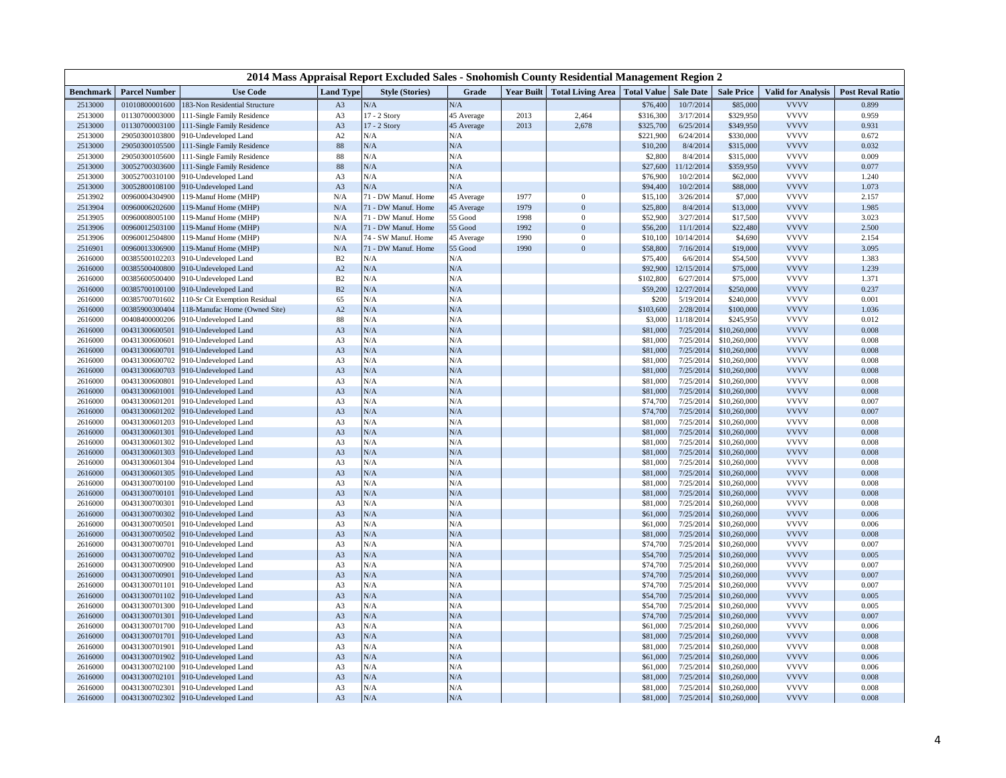| 2014 Mass Appraisal Report Excluded Sales - Snohomish County Residential Management Region 2 |                                  |                                              |                                  |                        |            |                   |                          |                              |                         |                              |                            |                         |
|----------------------------------------------------------------------------------------------|----------------------------------|----------------------------------------------|----------------------------------|------------------------|------------|-------------------|--------------------------|------------------------------|-------------------------|------------------------------|----------------------------|-------------------------|
| <b>Benchmark</b>                                                                             | <b>Parcel Number</b>             | <b>Use Code</b>                              | Land Type                        | <b>Style (Stories)</b> | Grade      | <b>Year Built</b> | <b>Total Living Area</b> | <b>Total Value Sale Date</b> |                         | <b>Sale Price</b>            | <b>Valid for Analysis</b>  | <b>Post Reval Ratio</b> |
| 2513000                                                                                      | 01010800001600                   | 183-Non Residential Structure                | A <sub>3</sub>                   | N/A                    | N/A        |                   |                          | \$76,400                     | 10/7/2014               | \$85,000                     | <b>VVVV</b>                | 0.899                   |
| 2513000                                                                                      | 01130700003000                   | 111-Single Family Residence                  | A <sub>3</sub>                   | $17 - 2$ Story         | 45 Average | 2013              | 2,464                    | \$316,300                    | 3/17/2014               | \$329,950                    | <b>VVVV</b>                | 0.959                   |
| 2513000                                                                                      | 01130700003100                   | 111-Single Family Residence                  | A <sub>3</sub>                   | 17 - 2 Story           | 45 Average | 2013              | 2,678                    | \$325,700                    | 6/25/2014               | \$349,950                    | <b>VVVV</b>                | 0.931                   |
| 2513000                                                                                      | 29050300103800                   | 910-Undeveloped Land                         | A2                               | N/A                    | N/A        |                   |                          | \$221,900                    | 6/24/2014               | \$330,000                    | <b>VVVV</b>                | 0.672                   |
| 2513000                                                                                      | 29050300105500                   | 111-Single Family Residence                  | 88                               | N/A                    | N/A        |                   |                          | \$10,200                     | 8/4/2014                | \$315,000                    | <b>VVVV</b>                | 0.032                   |
| 2513000                                                                                      | 29050300105600                   | 111-Single Family Residence                  | 88                               | N/A                    | N/A        |                   |                          | \$2,800                      | 8/4/2014                | \$315,000                    | <b>VVVV</b>                | 0.009                   |
| 2513000                                                                                      | 30052700303600                   | 111-Single Family Residence                  | 88                               | N/A                    | N/A        |                   |                          | \$27,600                     | 11/12/2014              | \$359,950                    | <b>VVVV</b>                | 0.077                   |
| 2513000                                                                                      | 30052700310100                   | 910-Undeveloped Land                         | A <sub>3</sub>                   | N/A                    | N/A        |                   |                          | \$76,900                     | 10/2/2014               | \$62,000                     | <b>VVVV</b>                | 1.240                   |
| 2513000                                                                                      | 30052800108100                   | 910-Undeveloped Land                         | A <sub>3</sub>                   | N/A                    | N/A        |                   |                          | \$94,400                     | 10/2/2014               | \$88,000                     | <b>VVVV</b>                | 1.073                   |
| 2513902                                                                                      | 00960004304900                   | 119-Manuf Home (MHP)                         | N/A                              | 71 - DW Manuf. Home    | 45 Average | 1977              | $\bf{0}$                 | \$15,100                     | 3/26/2014               | \$7,000                      | <b>VVVV</b>                | 2.157                   |
| 2513904                                                                                      | 00960006202600                   | 119-Manuf Home (MHP)                         | N/A                              | 71 - DW Manuf. Home    | 45 Average | 1979              | $\overline{0}$           | \$25,800                     | 8/4/2014                | \$13,000                     | <b>VVVV</b>                | 1.985                   |
| 2513905                                                                                      | 00960008005100                   | 119-Manuf Home (MHP)                         | N/A                              | 71 - DW Manuf. Home    | 55 Good    | 1998              | $\bf{0}$                 | \$52,900                     | 3/27/2014               | \$17,500                     | <b>VVVV</b>                | 3.023                   |
| 2513906                                                                                      | 00960012503100                   | 119-Manuf Home (MHP)                         | N/A                              | 71 - DW Manuf. Home    | 55 Good    | 1992              | $\overline{0}$           | \$56,200                     | 11/1/2014               | \$22,480                     | <b>VVVV</b>                | 2.500                   |
| 2513906                                                                                      | 00960012504800                   | 119-Manuf Home (MHP)                         | N/A                              | 74 - SW Manuf. Home    | 45 Average | 1990              | $\mathbf{0}$             | \$10,100                     | 10/14/2014              | \$4,690                      | <b>VVVV</b><br><b>VVVV</b> | 2.154                   |
| 2516901                                                                                      | 00960013306900                   | 119-Manuf Home (MHP)                         | $\rm N/A$                        | 71 - DW Manuf. Home    | 55 Good    | 1990              | $\overline{0}$           | \$58,800                     | 7/16/2014               | \$19,000                     |                            | 3.095                   |
| 2616000                                                                                      | 00385500102203                   | 910-Undeveloped Land                         | B2                               | N/A                    | N/A        |                   |                          | \$75,400                     | 6/6/2014                | \$54,500                     | <b>VVVV</b>                | 1.383                   |
| 2616000                                                                                      | 00385500400800                   | 910-Undeveloped Land                         | A2                               | N/A                    | N/A        |                   |                          | \$92,900                     | 12/15/2014              | \$75,000                     | <b>VVVV</b>                | 1.239                   |
| 2616000                                                                                      | 00385600500400                   | 910-Undeveloped Land                         | B2                               | N/A                    | N/A        |                   |                          | \$102,800                    | 6/27/2014               | \$75,000                     | <b>VVVV</b>                | 1.371                   |
| 2616000                                                                                      | 00385700100100                   | 910-Undeveloped Land                         | B2                               | N/A                    | N/A        |                   |                          | \$59,200                     | 12/27/2014              | \$250,000                    | <b>VVVV</b>                | 0.237                   |
| 2616000                                                                                      | 00385700701602                   | 110-Sr Cit Exemption Residual                | 65                               | N/A<br>N/A             | N/A<br>N/A |                   |                          | \$200                        | 5/19/2014<br>2/28/2014  | \$240,000                    | <b>VVVV</b><br><b>VVVV</b> | 0.001<br>1.036          |
| 2616000                                                                                      | 00385900300404                   | 118-Manufac Home (Owned Site)                | A2                               |                        |            |                   |                          | \$103,600                    |                         | \$100,000                    |                            |                         |
| 2616000                                                                                      | 00408400000206<br>00431300600501 | 910-Undeveloped Land                         | 88                               | N/A<br>N/A             | N/A<br>N/A |                   |                          | \$3,000<br>\$81,000          | 11/18/2014<br>7/25/2014 | \$245,950<br>\$10,260,000    | <b>VVVV</b><br><b>VVVV</b> | 0.012<br>0.008          |
| 2616000                                                                                      | 00431300600601                   | 910-Undeveloped Land                         | A3                               | N/A                    |            |                   |                          |                              |                         |                              | <b>VVVV</b>                | 0.008                   |
| 2616000                                                                                      |                                  | 910-Undeveloped Land                         | A <sub>3</sub>                   | N/A                    | N/A        |                   |                          | \$81,000                     | 7/25/201                | \$10,260,000                 | <b>VVVV</b>                | 0.008                   |
| 2616000<br>2616000                                                                           | 00431300600701<br>00431300600702 | 910-Undeveloped Land                         | A <sub>3</sub><br>A <sub>3</sub> | N/A                    | N/A<br>N/A |                   |                          | \$81,000                     | 7/25/201<br>7/25/201    | \$10,260,000<br>\$10,260,000 | <b>VVVV</b>                | 0.008                   |
|                                                                                              | 00431300600703                   | 910-Undeveloped Land                         |                                  | N/A                    |            |                   |                          | \$81,00                      | 7/25/2014               | \$10,260,000                 | <b>VVVV</b>                | 0.008                   |
| 2616000<br>2616000                                                                           |                                  | 910-Undeveloped Land                         | A3                               | N/A                    | N/A<br>N/A |                   |                          | \$81,000                     | 7/25/201                |                              | <b>VVVV</b>                | 0.008                   |
| 2616000                                                                                      | 00431300600801<br>00431300601001 | 910-Undeveloped Land<br>910-Undeveloped Land | A3                               | N/A                    | N/A        |                   |                          | \$81,000<br>\$81,000         | 7/25/2014               | \$10,260,000<br>\$10,260,000 | <b>VVVV</b>                | 0.008                   |
| 2616000                                                                                      | 00431300601201                   | 910-Undeveloped Land                         | A3<br>A <sub>3</sub>             | N/A                    | N/A        |                   |                          | \$74,700                     | 7/25/201                | \$10,260,000                 | <b>VVVV</b>                | 0.007                   |
| 2616000                                                                                      | 00431300601202                   | 910-Undeveloped Land                         | A <sub>3</sub>                   | N/A                    | N/A        |                   |                          | \$74,700                     | 7/25/201                | \$10,260,000                 | <b>VVVV</b>                | 0.007                   |
| 2616000                                                                                      | 00431300601203                   | 910-Undeveloped Land                         | A <sub>3</sub>                   | N/A                    | N/A        |                   |                          | \$81,000                     | 7/25/2014               | \$10,260,000                 | <b>VVVV</b>                | 0.008                   |
| 2616000                                                                                      | 00431300601301                   | 910-Undeveloped Land                         | A3                               | N/A                    | N/A        |                   |                          | \$81,000                     | 7/25/201                | \$10,260,000                 | <b>VVVV</b>                | 0.008                   |
| 2616000                                                                                      | 00431300601302                   | 910-Undeveloped Land                         | A3                               | N/A                    | N/A        |                   |                          | \$81,000                     | 7/25/201                | \$10,260,000                 | <b>VVVV</b>                | 0.008                   |
| 2616000                                                                                      | 00431300601303                   | 910-Undeveloped Land                         | A3                               | N/A                    | N/A        |                   |                          | \$81,000                     | 7/25/201                | \$10,260,000                 | <b>VVVV</b>                | 0.008                   |
| 2616000                                                                                      | 00431300601304                   | 910-Undeveloped Land                         | A <sub>3</sub>                   | N/A                    | N/A        |                   |                          | \$81,00                      | 7/25/201                | \$10,260,000                 | <b>VVVV</b>                | 0.008                   |
| 2616000                                                                                      | 00431300601305                   | 910-Undeveloped Land                         | A3                               | N/A                    | N/A        |                   |                          | \$81,000                     | 7/25/201                | \$10,260,000                 | <b>VVVV</b>                | 0.008                   |
| 2616000                                                                                      | 00431300700100                   | 910-Undeveloped Land                         | A <sub>3</sub>                   | N/A                    | N/A        |                   |                          | \$81,000                     | 7/25/201                | \$10,260,000                 | <b>VVVV</b>                | 0.008                   |
| 2616000                                                                                      | 00431300700101                   | 910-Undeveloped Land                         | A3                               | N/A                    | N/A        |                   |                          | \$81,000                     | 7/25/2014               | \$10,260,000                 | <b>VVVV</b>                | 0.008                   |
| 2616000                                                                                      | 00431300700301                   | 910-Undeveloped Land                         | A3                               | N/A                    | N/A        |                   |                          | \$81,000                     | 7/25/201                | \$10,260,000                 | <b>VVVV</b>                | 0.008                   |
| 2616000                                                                                      | 00431300700302                   | 910-Undeveloped Land                         | A3                               | N/A                    | N/A        |                   |                          | \$61,000                     | 7/25/201                | \$10,260,000                 | <b>VVVV</b>                | 0.006                   |
| 2616000                                                                                      | 00431300700501                   | 910-Undeveloped Land                         | A <sub>3</sub>                   | N/A                    | N/A        |                   |                          | \$61,000                     | 7/25/2014               | \$10,260,000                 | <b>VVVV</b>                | 0.006                   |
| 2616000                                                                                      | 00431300700502                   | 910-Undeveloped Land                         | A <sub>3</sub>                   | N/A                    | N/A        |                   |                          | \$81,000                     | 7/25/201                | \$10,260,000                 | <b>VVVV</b>                | 0.008                   |
| 2616000                                                                                      | 00431300700701                   | 910-Undeveloped Land                         | A <sub>3</sub>                   | N/A                    | N/A        |                   |                          | \$74,700                     | 7/25/2014               | \$10,260,000                 | <b>VVVV</b>                | 0.007                   |
| 2616000                                                                                      | 00431300700702                   | 910-Undeveloped Land                         | A3                               | $\rm N/A$              | N/A        |                   |                          | \$54,700                     | 7/25/201                | \$10,260,000                 | <b>VVVV</b>                | 0.005                   |
| 2616000                                                                                      | 00431300700900                   | 910-Undeveloped Land                         | A3                               | N/A                    | N/A        |                   |                          | \$74,700                     | 7/25/201                | \$10,260,000                 | <b>VVVV</b>                | 0.007                   |
| 2616000                                                                                      | 00431300700901                   | 910-Undeveloped Land                         | A3                               | N/A                    | N/A        |                   |                          | \$74,700                     | 7/25/2014               | \$10,260,000                 | <b>VVVV</b>                | 0.007                   |
| 2616000                                                                                      | 00431300701101                   | 910-Undeveloped Land                         | A <sub>3</sub>                   | N/A                    | N/A        |                   |                          | \$74,700                     | 7/25/2014               | \$10,260,000                 | <b>VVVV</b>                | 0.007                   |
| 2616000                                                                                      | 00431300701102                   | 910-Undeveloped Land                         | A <sub>3</sub>                   | N/A                    | N/A        |                   |                          | \$54,700                     | 7/25/201                | \$10,260,000                 | <b>VVVV</b>                | 0.005                   |
| 2616000                                                                                      | 00431300701300                   | 910-Undeveloped Land                         | A <sub>3</sub>                   | N/A                    | N/A        |                   |                          | \$54,700                     | 7/25/201                | \$10,260,000                 | <b>VVVV</b>                | 0.005                   |
| 2616000                                                                                      | 00431300701301                   | 910-Undeveloped Land                         | A3                               | N/A                    | N/A        |                   |                          | \$74,700                     | 7/25/2014               | \$10,260,000                 | <b>VVVV</b>                | 0.007                   |
| 2616000                                                                                      | 00431300701700                   | 910-Undeveloped Land                         | A3                               | N/A                    | N/A        |                   |                          | \$61,000                     | 7/25/2014               | \$10,260,000                 | <b>VVVV</b>                | 0.006                   |
| 2616000                                                                                      | 00431300701701                   | 910-Undeveloped Land                         | A3                               | N/A                    | N/A        |                   |                          | \$81,000                     | 7/25/2014               | \$10,260,000                 | <b>VVVV</b>                | 0.008                   |
| 2616000                                                                                      | 00431300701901                   | 910-Undeveloped Land                         | A <sub>3</sub>                   | N/A                    | N/A        |                   |                          | \$81,000                     | 7/25/201                | \$10,260,000                 | <b>VVVV</b>                | 0.008                   |
| 2616000                                                                                      | 00431300701902                   | 910-Undeveloped Land                         | A3                               | N/A                    | N/A        |                   |                          | \$61,000                     | 7/25/201                | \$10,260,00                  | <b>VVVV</b>                | 0.006                   |
| 2616000                                                                                      | 00431300702100                   | 910-Undeveloped Land                         | A <sub>3</sub>                   | N/A                    | N/A        |                   |                          | \$61,000                     | 7/25/2014               | \$10,260,000                 | <b>VVVV</b>                | 0.006                   |
| 2616000                                                                                      | 00431300702101                   | 910-Undeveloped Land                         | A3                               | N/A                    | N/A        |                   |                          | \$81,000                     | 7/25/2014               | \$10,260,000                 | <b>VVVV</b>                | 0.008                   |
| 2616000                                                                                      | 00431300702301                   | 910-Undeveloped Land                         | A3                               | N/A                    | N/A        |                   |                          | \$81,000                     | 7/25/2014               | \$10,260,000                 | <b>VVVV</b>                | 0.008                   |
| 2616000                                                                                      | 00431300702302                   | 910-Undeveloped Land                         | A3                               | ${\rm N/A}$            | N/A        |                   |                          | \$81,000                     | 7/25/2014               | \$10,260,000                 | <b>VVVV</b>                | 0.008                   |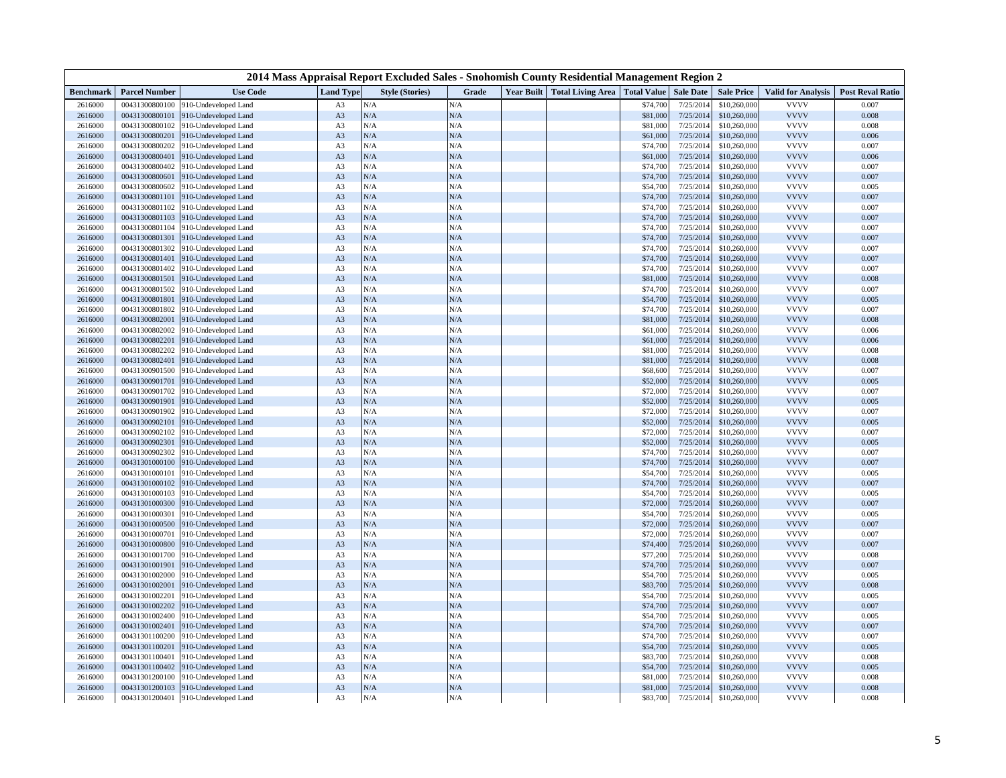| 2014 Mass Appraisal Report Excluded Sales - Snohomish County Residential Management Region 2 |                                  |                                              |                                  |                        |            |  |                                     |                      |                        |                              |                            |                         |
|----------------------------------------------------------------------------------------------|----------------------------------|----------------------------------------------|----------------------------------|------------------------|------------|--|-------------------------------------|----------------------|------------------------|------------------------------|----------------------------|-------------------------|
| <b>Benchmark</b>                                                                             | <b>Parcel Number</b>             | <b>Use Code</b>                              | <b>Land Type</b>                 | <b>Style (Stories)</b> | Grade      |  | <b>Year Built Total Living Area</b> | <b>Total Value</b>   | <b>Sale Date</b>       | <b>Sale Price</b>            | <b>Valid for Analysis</b>  | <b>Post Reval Ratio</b> |
| 2616000                                                                                      | 00431300800100                   | 910-Undeveloped Land                         | A <sub>3</sub>                   | N/A                    | N/A        |  |                                     | \$74,700             | 7/25/201               | \$10,260,000                 | <b>VVVV</b>                | 0.007                   |
| 2616000                                                                                      | 00431300800101                   | 910-Undeveloped Land                         | A <sub>3</sub>                   | N/A                    | N/A        |  |                                     | \$81,000             | 7/25/201               | \$10,260,000                 | <b>VVVV</b>                | 0.008                   |
| 2616000                                                                                      | 00431300800102                   | 910-Undeveloped Land                         | A <sub>3</sub>                   | N/A                    | N/A        |  |                                     | \$81,000             | 7/25/2014              | \$10,260,000                 | <b>VVVV</b>                | 0.008                   |
| 2616000                                                                                      | 00431300800201                   | 910-Undeveloped Land                         | A3                               | N/A                    | N/A        |  |                                     | \$61,000             | 7/25/201               | \$10,260,000                 | <b>VVVV</b>                | 0.006                   |
| 2616000                                                                                      | 00431300800202                   | 910-Undeveloped Land                         | A <sub>3</sub>                   | N/A                    | N/A        |  |                                     | \$74,700             | 7/25/2014              | \$10,260,000                 | <b>VVVV</b>                | 0.007                   |
| 2616000                                                                                      | 00431300800401                   | 910-Undeveloped Land                         | A3                               | $\rm N/A$              | N/A        |  |                                     | \$61,000             | 7/25/201               | \$10,260,000                 | <b>VVVV</b>                | 0.006                   |
| 2616000                                                                                      | 00431300800402                   | 910-Undeveloped Land                         | A3                               | N/A                    | N/A        |  |                                     | \$74,700             | 7/25/201               | \$10,260,000                 | <b>VVVV</b>                | 0.007                   |
| 2616000                                                                                      | 00431300800601                   | 910-Undeveloped Land                         | A3                               | N/A                    | N/A        |  |                                     | \$74,700             | 7/25/201               | \$10,260,000                 | <b>VVVV</b>                | 0.007                   |
| 2616000                                                                                      | 00431300800602                   | 910-Undeveloped Land                         | A <sub>3</sub>                   | N/A                    | N/A        |  |                                     | \$54,700             | 7/25/201               | \$10,260,000                 | <b>VVVV</b>                | 0.005                   |
| 2616000                                                                                      | 00431300801101                   | 910-Undeveloped Land                         | A <sub>3</sub>                   | N/A                    | N/A        |  |                                     | \$74,700             | 7/25/201               | \$10,260,000                 | <b>VVVV</b>                | 0.007                   |
| 2616000                                                                                      | 00431300801102                   | 910-Undeveloped Land                         | A <sub>3</sub>                   | N/A                    | N/A        |  |                                     | \$74,700             | 7/25/201               | \$10,260,000                 | <b>VVVV</b>                | 0.007                   |
| 2616000                                                                                      | 00431300801103                   | 910-Undeveloped Land                         | A3                               | N/A                    | N/A        |  |                                     | \$74,700             | 7/25/2014              | \$10,260,000                 | <b>VVVV</b>                | 0.007                   |
| 2616000                                                                                      | 00431300801104                   | 910-Undeveloped Land                         | A <sub>3</sub>                   | N/A                    | N/A        |  |                                     | \$74,700             | 7/25/2014              | \$10,260,000                 | <b>VVVV</b>                | 0.007                   |
| 2616000                                                                                      | 00431300801301                   | 910-Undeveloped Land                         | A3                               | N/A                    | N/A        |  |                                     | \$74,700             | 7/25/201               | \$10,260,000                 | <b>VVVV</b>                | 0.007                   |
| 2616000                                                                                      | 00431300801302                   | 910-Undeveloped Land                         | A <sub>3</sub>                   | N/A                    | N/A        |  |                                     | \$74,700             | 7/25/201               | \$10,260,000                 | <b>VVVV</b>                | 0.007                   |
| 2616000                                                                                      | 00431300801401                   | 910-Undeveloped Land                         | A3                               | N/A                    | N/A        |  |                                     | \$74,700             | 7/25/201               | \$10,260,000                 | <b>VVVV</b>                | 0.007                   |
| 2616000                                                                                      | 00431300801402                   | 910-Undeveloped Land                         | A3                               | N/A                    | N/A        |  |                                     | \$74,700             | 7/25/201               | \$10,260,000                 | <b>VVVV</b>                | 0.007                   |
| 2616000                                                                                      | 00431300801501                   | 910-Undeveloped Land                         | A <sub>3</sub>                   | N/A                    | N/A        |  |                                     | \$81,000             | 7/25/2014              | \$10,260,000                 | <b>VVVV</b>                | 0.008                   |
| 2616000                                                                                      | 00431300801502                   | 910-Undeveloped Land                         | A <sub>3</sub>                   | N/A                    | N/A        |  |                                     | \$74,700             | 7/25/2014              | \$10,260,000                 | <b>VVVV</b>                | 0.007                   |
| 2616000                                                                                      | 00431300801801                   | 910-Undeveloped Land                         | A <sub>3</sub>                   | N/A                    | N/A        |  |                                     | \$54,700             | 7/25/201               | \$10,260,000                 | <b>VVVV</b>                | 0.005                   |
| 2616000                                                                                      | 00431300801802                   | 910-Undeveloped Land                         | A <sub>3</sub>                   | N/A                    | N/A        |  |                                     | \$74,700             | 7/25/201               | \$10,260,000                 | <b>VVVV</b>                | 0.007                   |
| 2616000                                                                                      | 00431300802001                   | 910-Undeveloped Land                         | A3                               | N/A                    | N/A        |  |                                     | \$81,000             | 7/25/2014              | \$10,260,000                 | <b>VVVV</b>                | 0.008                   |
| 2616000                                                                                      | 00431300802002                   | 910-Undeveloped Land                         | A3                               | N/A                    | N/A        |  |                                     | \$61,000             | 7/25/201               | \$10,260,000                 | <b>VVVV</b>                | 0.006                   |
| 2616000                                                                                      | 00431300802201                   | 910-Undeveloped Land                         | A3                               | N/A                    | N/A        |  |                                     | \$61,000             | 7/25/2014              | \$10,260,000                 | <b>VVVV</b>                | 0.006                   |
| 2616000                                                                                      | 00431300802202                   | 910-Undeveloped Land                         | A <sub>3</sub>                   | N/A                    | N/A        |  |                                     | \$81,000             | 7/25/201               | \$10,260,000                 | <b>VVVV</b><br><b>VVVV</b> | 0.008                   |
| 2616000                                                                                      | 00431300802401                   | 910-Undeveloped Land                         | A3                               | N/A<br>N/A             | N/A        |  |                                     | \$81,000             | 7/25/201               | \$10,260,000                 | <b>VVVV</b>                | 0.008                   |
| 2616000                                                                                      | 00431300901500                   | 910-Undeveloped Land                         | A <sub>3</sub>                   |                        | N/A        |  |                                     | \$68,600             | 7/25/2014              | \$10,260,000                 |                            | 0.007                   |
| 2616000                                                                                      | 00431300901701                   | 910-Undeveloped Land                         | A <sub>3</sub>                   | N/A                    | N/A        |  |                                     | \$52,000             | 7/25/201               | \$10,260,000                 | <b>VVVV</b><br><b>VVVV</b> | 0.005                   |
| 2616000<br>2616000                                                                           | 00431300901702<br>00431300901901 | 910-Undeveloped Land<br>910-Undeveloped Land | A <sub>3</sub><br>A <sub>3</sub> | N/A<br>N/A             | N/A<br>N/A |  |                                     | \$72,000<br>\$52,000 | 7/25/2014<br>7/25/2014 | \$10,260,000<br>\$10,260,000 | <b>VVVV</b>                | 0.007<br>0.005          |
| 2616000                                                                                      | 00431300901902                   | 910-Undeveloped Land                         | A <sub>3</sub>                   | N/A                    | N/A        |  |                                     | \$72,00              | 7/25/201               | \$10,260,000                 | <b>VVVV</b>                | 0.007                   |
| 2616000                                                                                      | 00431300902101                   | 910-Undeveloped Land                         | A3                               | N/A                    | N/A        |  |                                     | \$52,000             | 7/25/201               | \$10,260,000                 | <b>VVVV</b>                | 0.005                   |
| 2616000                                                                                      | 00431300902102                   | 910-Undeveloped Land                         | A <sub>3</sub>                   | N/A                    | N/A        |  |                                     | \$72,000             | 7/25/201               | \$10,260,000                 | <b>VVVV</b>                | 0.007                   |
| 2616000                                                                                      | 00431300902301                   | 910-Undeveloped Land                         | A <sub>3</sub>                   | N/A                    | N/A        |  |                                     | \$52,000             | 7/25/2014              | \$10,260,000                 | <b>VVVV</b>                | 0.005                   |
| 2616000                                                                                      | 00431300902302                   | 910-Undeveloped Land                         | A <sub>3</sub>                   | N/A                    | N/A        |  |                                     | \$74,700             | 7/25/201               | \$10,260,000                 | <b>VVVV</b>                | 0.007                   |
| 2616000                                                                                      | 00431301000100                   | 910-Undeveloped Land                         | A <sub>3</sub>                   | N/A                    | N/A        |  |                                     | \$74,700             | 7/25/2014              | \$10,260,000                 | <b>VVVV</b>                | 0.007                   |
| 2616000                                                                                      | 00431301000101                   | 910-Undeveloped Land                         | A <sub>3</sub>                   | N/A                    | N/A        |  |                                     | \$54,700             | 7/25/2014              | \$10,260,000                 | <b>VVVV</b>                | 0.005                   |
| 2616000                                                                                      | 00431301000102                   | 910-Undeveloped Land                         | A3                               | N/A                    | N/A        |  |                                     | \$74,700             | 7/25/201               | \$10,260,000                 | <b>VVVV</b>                | 0.007                   |
| 2616000                                                                                      | 00431301000103                   | 910-Undeveloped Land                         | A <sub>3</sub>                   | N/A                    | N/A        |  |                                     | \$54,700             | 7/25/2014              | \$10,260,000                 | <b>VVVV</b>                | 0.005                   |
| 2616000                                                                                      | 00431301000300                   | 910-Undeveloped Land                         | A3                               | N/A                    | N/A        |  |                                     | \$72,000             | 7/25/201               | \$10,260,000                 | <b>VVVV</b>                | 0.007                   |
| 2616000                                                                                      | 00431301000301                   | 910-Undeveloped Land                         | A3                               | N/A                    | N/A        |  |                                     | \$54,700             | 7/25/201               | \$10,260,000                 | <b>VVVV</b>                | 0.005                   |
| 2616000                                                                                      | 00431301000500                   | 910-Undeveloped Land                         | A <sub>3</sub>                   | N/A                    | N/A        |  |                                     | \$72,000             | 7/25/201               | \$10,260,000                 | <b>VVVV</b>                | 0.007                   |
| 2616000                                                                                      | 00431301000701                   | 910-Undeveloped Land                         | A <sub>3</sub>                   | N/A                    | N/A        |  |                                     | \$72,000             | 7/25/201               | \$10,260,000                 | <b>VVVV</b>                | 0.007                   |
| 2616000                                                                                      | 00431301000800                   | 910-Undeveloped Land                         | A <sub>3</sub>                   | N/A                    | N/A        |  |                                     | \$74,400             | 7/25/201               | \$10,260,000                 | <b>VVVV</b>                | 0.007                   |
| 2616000                                                                                      | 00431301001700                   | 910-Undeveloped Land                         | A <sub>3</sub>                   | N/A                    | N/A        |  |                                     | \$77,200             | 7/25/201               | \$10,260,000                 | <b>VVVV</b>                | 0.008                   |
| 2616000                                                                                      | 00431301001901                   | 910-Undeveloped Land                         | A3                               | N/A                    | N/A        |  |                                     | \$74,700             | 7/25/2014              | \$10,260,000                 | <b>VVVV</b>                | 0.007                   |
| 2616000                                                                                      | 00431301002000                   | 910-Undeveloped Land                         | A3                               | N/A                    | N/A        |  |                                     | \$54,700             | 7/25/201               | \$10,260,000                 | <b>VVVV</b>                | 0.005                   |
| 2616000                                                                                      | 00431301002001                   | 910-Undeveloped Land                         | A3                               | N/A                    | N/A        |  |                                     | \$83,700             | 7/25/2014              | \$10,260,000                 | <b>VVVV</b>                | 0.008                   |
| 2616000                                                                                      | 00431301002201                   | 910-Undeveloped Land                         | A <sub>3</sub>                   | N/A                    | N/A        |  |                                     | \$54,700             | 7/25/2014              | \$10,260,000                 | <b>VVVV</b>                | 0.005                   |
| 2616000                                                                                      | 00431301002202                   | 910-Undeveloped Land                         | A3                               | N/A                    | N/A        |  |                                     | \$74,700             | 7/25/201               | \$10,260,000                 | <b>VVVV</b>                | 0.007                   |
| 2616000                                                                                      | 00431301002400                   | 910-Undeveloped Land                         | A <sub>3</sub>                   | N/A                    | N/A        |  |                                     | \$54,700             | 7/25/2014              | \$10,260,000                 | <b>VVVV</b>                | 0.005                   |
| 2616000                                                                                      | 00431301002401                   | 910-Undeveloped Land                         | A <sub>3</sub>                   | $\rm N/A$              | N/A        |  |                                     | \$74,700             | 7/25/2014              | \$10,260,000                 | <b>VVVV</b>                | 0.007                   |
| 2616000                                                                                      | 00431301100200                   | 910-Undeveloped Land                         | A <sub>3</sub>                   | N/A                    | N/A        |  |                                     | \$74,700             | 7/25/2014              | \$10,260,000                 | <b>VVVV</b>                | 0.007                   |
| 2616000                                                                                      | 00431301100201                   | 910-Undeveloped Land                         | A3                               | N/A                    | N/A        |  |                                     | \$54,700             | 7/25/201               | \$10,260,000                 | <b>VVVV</b>                | 0.005                   |
| 2616000                                                                                      | 00431301100401                   | 910-Undeveloped Land                         | A3                               | N/A                    | N/A        |  |                                     | \$83,700             | 7/25/201               | \$10,260,000                 | <b>VVVV</b>                | 0.008                   |
| 2616000                                                                                      | 00431301100402                   | 910-Undeveloped Land                         | A3                               | N/A                    | N/A        |  |                                     | \$54,700             | 7/25/201               | \$10,260,000                 | <b>VVVV</b>                | 0.005                   |
| 2616000                                                                                      | 00431301200100                   | 910-Undeveloped Land                         | A3                               | N/A                    | N/A        |  |                                     | \$81,000             | 7/25/201               | \$10,260,000                 | <b>VVVV</b>                | 0.008                   |
| 2616000                                                                                      | 00431301200103                   | 910-Undeveloped Land                         | A <sub>3</sub>                   | $\rm N/A$              | N/A        |  |                                     | \$81,000             | 7/25/2014              | \$10,260,000                 | <b>VVVV</b>                | 0.008                   |
| 2616000                                                                                      | 00431301200401                   | 910-Undeveloped Land                         | A3                               | N/A                    | N/A        |  |                                     | \$83,700             | 7/25/2014              | \$10,260,000                 | <b>VVVV</b>                | 0.008                   |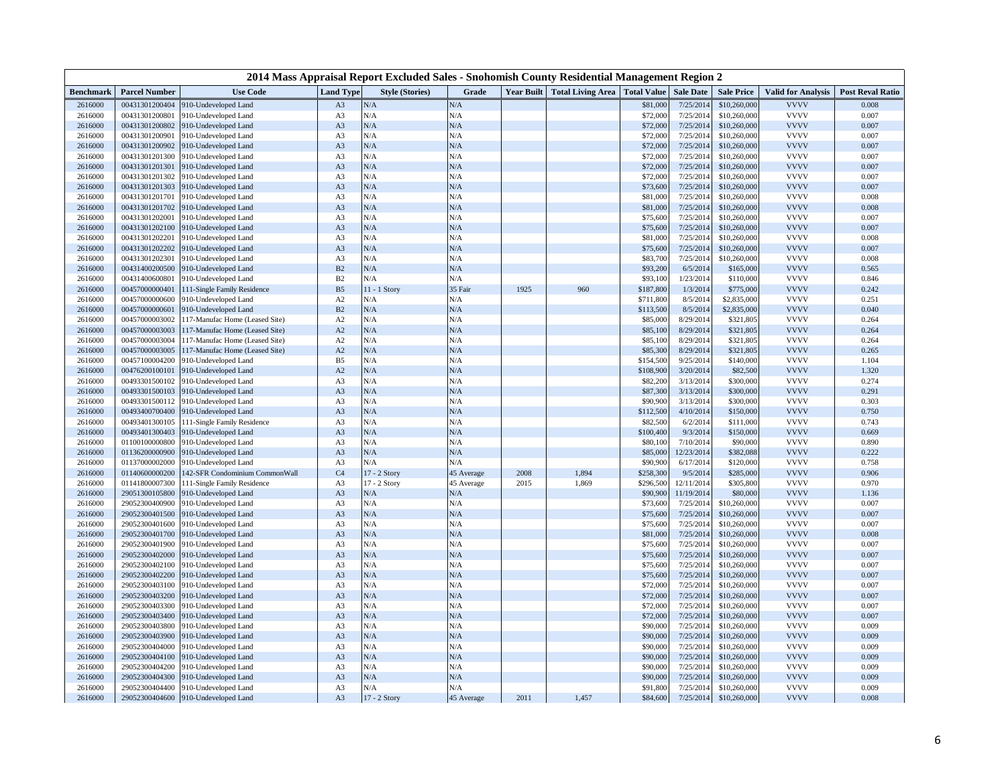| 2014 Mass Appraisal Report Excluded Sales - Snohomish County Residential Management Region 2 |                                  |                                                     |                                  |                        |            |                   |                          |                       |                        |                        |                            |                         |
|----------------------------------------------------------------------------------------------|----------------------------------|-----------------------------------------------------|----------------------------------|------------------------|------------|-------------------|--------------------------|-----------------------|------------------------|------------------------|----------------------------|-------------------------|
| <b>Benchmark</b>                                                                             | <b>Parcel Number</b>             | <b>Use Code</b>                                     | <b>Land Type</b>                 | <b>Style (Stories)</b> | Grade      | <b>Year Built</b> | <b>Total Living Area</b> | <b>Total Value</b>    | <b>Sale Date</b>       | <b>Sale Price</b>      | <b>Valid for Analysis</b>  | <b>Post Reval Ratio</b> |
| 2616000                                                                                      | 00431301200404                   | 910-Undeveloped Land                                | A3                               | N/A                    | N/A        |                   |                          | \$81,000              | 7/25/201               | \$10,260,000           | <b>VVVV</b>                | 0.008                   |
| 2616000                                                                                      | 00431301200801                   | 910-Undeveloped Land                                | A <sub>3</sub>                   | N/A                    | N/A        |                   |                          | \$72,000              | 7/25/201               | \$10,260,000           | <b>VVVV</b>                | 0.007                   |
| 2616000                                                                                      | 00431301200802                   | 910-Undeveloped Land                                | A3                               | N/A                    | N/A        |                   |                          | \$72,000              | 7/25/2014              | \$10,260,000           | <b>VVVV</b>                | 0.007                   |
| 2616000                                                                                      | 00431301200901                   | 910-Undeveloped Land                                | A <sub>3</sub>                   | N/A                    | N/A        |                   |                          | \$72,000              | 7/25/2014              | \$10,260,000           | <b>VVVV</b>                | 0.007                   |
| 2616000                                                                                      | 00431301200902                   | 910-Undeveloped Land                                | A3                               | N/A                    | N/A        |                   |                          | \$72,000              | 7/25/2014              | \$10,260,000           | <b>VVVV</b>                | 0.007                   |
| 2616000                                                                                      | 00431301201300                   | 910-Undeveloped Land                                | A3                               | N/A                    | N/A        |                   |                          | \$72,000              | 7/25/201               | \$10,260,000           | <b>VVVV</b>                | 0.007                   |
| 2616000                                                                                      | 00431301201301                   | 910-Undeveloped Land                                | A3                               | N/A                    | N/A        |                   |                          | \$72,000              | 7/25/201               | \$10,260,000           | <b>VVVV</b>                | 0.007                   |
| 2616000                                                                                      | 00431301201302                   | 910-Undeveloped Land                                | A <sub>3</sub>                   | N/A                    | N/A        |                   |                          | \$72,000              | 7/25/201               | \$10,260,000           | <b>VVVV</b>                | 0.007                   |
| 2616000                                                                                      | 00431301201303                   | 910-Undeveloped Land                                | A <sub>3</sub>                   | N/A                    | N/A        |                   |                          | \$73,600              | 7/25/201               | \$10,260,000           | <b>VVVV</b>                | 0.007                   |
| 2616000                                                                                      | 00431301201701                   | 910-Undeveloped Land                                | A <sub>3</sub>                   | N/A                    | N/A        |                   |                          | \$81,000              | 7/25/2014              | \$10,260,000           | <b>VVVV</b>                | 0.008                   |
| 2616000                                                                                      | 00431301201702                   | 910-Undeveloped Land                                | A <sub>3</sub>                   | N/A                    | N/A        |                   |                          | \$81,000              | 7/25/201               | \$10,260,000           | <b>VVVV</b>                | 0.008                   |
| 2616000                                                                                      | 00431301202001                   | 910-Undeveloped Land                                | A <sub>3</sub>                   | N/A                    | N/A        |                   |                          | \$75,600              | 7/25/2014              | \$10,260,000           | <b>VVVV</b>                | 0.007                   |
| 2616000                                                                                      | 00431301202100                   | 910-Undeveloped Land                                | A3                               | N/A                    | N/A        |                   |                          | \$75,600              | 7/25/201               | \$10,260,000           | <b>VVVV</b>                | 0.007                   |
| 2616000                                                                                      | 00431301202201                   | 910-Undeveloped Land                                | A <sub>3</sub>                   | N/A                    | N/A        |                   |                          | \$81,000              | 7/25/201               | \$10,260,000           | <b>VVVV</b>                | 0.008                   |
| 2616000                                                                                      | 00431301202202                   | 910-Undeveloped Land                                | A3                               | N/A                    | N/A        |                   |                          | \$75,600              | 7/25/201               | \$10,260,000           | <b>VVVV</b>                | 0.007                   |
| 2616000                                                                                      | 00431301202301                   | 910-Undeveloped Land                                | A <sub>3</sub>                   | N/A                    | N/A        |                   |                          | \$83,700              | 7/25/201               | \$10,260,000           | <b>VVVV</b>                | 0.008                   |
| 2616000                                                                                      | 00431400200500                   | 910-Undeveloped Land                                | B2                               | N/A                    | N/A        |                   |                          | \$93,200              | 6/5/2014               | \$165,000              | <b>VVVV</b>                | 0.565                   |
| 2616000                                                                                      | 00431400600801                   | 910-Undeveloped Land                                | B2                               | N/A                    | N/A        |                   |                          | \$93,100              | 1/23/2014              | \$110,000              | <b>VVVV</b>                | 0.846                   |
| 2616000                                                                                      | 00457000000401                   | 111-Single Family Residence                         | B <sub>5</sub>                   | 11 - 1 Story           | 35 Fair    | 1925              | 960                      | \$187,800             | 1/3/2014               | \$775,000              | <b>VVVV</b>                | 0.242                   |
| 2616000                                                                                      | 00457000000600                   | 910-Undeveloped Land                                | A2                               | N/A                    | N/A        |                   |                          | \$711,800             | 8/5/2014               | \$2,835,000            | <b>VVVV</b>                | 0.251                   |
| 2616000                                                                                      | 00457000000601                   | 910-Undeveloped Land                                | B2                               | N/A                    | N/A        |                   |                          | \$113,500             | 8/5/2014               | \$2,835,000            | <b>VVVV</b>                | 0.040                   |
| 2616000                                                                                      | 00457000003002                   | 117-Manufac Home (Leased Site)                      | A2                               | N/A                    | N/A        |                   |                          | \$85,000              | 8/29/2014              | \$321,805              | <b>VVVV</b>                | 0.264                   |
| 2616000                                                                                      | 00457000003003                   | 117-Manufac Home (Leased Site)                      | A2                               | N/A<br>N/A             | N/A        |                   |                          | \$85,100              | 8/29/2014              | \$321,805              | <b>VVVV</b><br><b>VVVV</b> | 0.264                   |
| 2616000                                                                                      | 00457000003004                   | 117-Manufac Home (Leased Site)                      | A2                               |                        | N/A        |                   |                          | \$85,100              | 8/29/2014              | \$321,805              | <b>VVVV</b>                | 0.264                   |
| 2616000                                                                                      | 00457000003005                   | 117-Manufac Home (Leased Site)                      | A2                               | N/A<br>N/A             | N/A<br>N/A |                   |                          | \$85,300              | 8/29/2014              | \$321,805              | <b>VVVV</b>                | 0.265                   |
| 2616000                                                                                      | 00457100004200<br>00476200100101 | 910-Undeveloped Land                                | B5                               | N/A                    |            |                   |                          | \$154,500             | 9/25/2014<br>3/20/2014 | \$140,000<br>\$82,500  | <b>VVVV</b>                | 1.104<br>1.320          |
| 2616000                                                                                      |                                  | 910-Undeveloped Land                                | A2                               |                        | N/A        |                   |                          | \$108,900             |                        |                        | <b>VVVV</b>                |                         |
| 2616000<br>2616000                                                                           | 00493301500102<br>00493301500103 | 910-Undeveloped Land                                | A3                               | N/A<br>N/A             | N/A<br>N/A |                   |                          | \$82,200              | 3/13/2014<br>3/13/2014 | \$300,000              | <b>VVVV</b>                | 0.274<br>0.291          |
| 2616000                                                                                      | 00493301500112                   | 910-Undeveloped Land<br>910-Undeveloped Land        | A <sub>3</sub><br>A <sub>3</sub> | N/A                    | N/A        |                   |                          | \$87,300<br>\$90,900  | 3/13/2014              | \$300,000<br>\$300,000 | <b>VVVV</b>                | 0.303                   |
|                                                                                              |                                  |                                                     |                                  | N/A                    | N/A        |                   |                          |                       |                        | \$150,000              | <b>VVVV</b>                | 0.750                   |
| 2616000<br>2616000                                                                           | 00493400700400<br>00493401300105 | 910-Undeveloped Land<br>111-Single Family Residence | A <sub>3</sub><br>A <sub>3</sub> | N/A                    | N/A        |                   |                          | \$112,500<br>\$82,500 | 4/10/2014<br>6/2/2014  | \$111,000              | <b>VVVV</b>                | 0.743                   |
| 2616000                                                                                      | 00493401300403                   | 910-Undeveloped Land                                | A3                               | N/A                    | N/A        |                   |                          | \$100,400             | 9/3/2014               | \$150,000              | <b>VVVV</b>                | 0.669                   |
| 2616000                                                                                      | 01100100000800                   | 910-Undeveloped Land                                | A3                               | N/A                    | N/A        |                   |                          | \$80,100              | 7/10/2014              | \$90,000               | <b>VVVV</b>                | 0.890                   |
| 2616000                                                                                      | 01136200000900                   | 910-Undeveloped Land                                | A3                               | N/A                    | N/A        |                   |                          | \$85,000              | 12/23/2014             | \$382,088              | <b>VVVV</b>                | 0.222                   |
| 2616000                                                                                      | 01137000002000                   | 910-Undeveloped Land                                | A <sub>3</sub>                   | N/A                    | N/A        |                   |                          | \$90,900              | 6/17/2014              | \$120,000              | <b>VVVV</b>                | 0.758                   |
| 2616000                                                                                      | 01140600000200                   | 142-SFR Condominium CommonWall                      | C <sub>4</sub>                   | 17 - 2 Story           | 45 Average | 2008              | 1,894                    | \$258,300             | 9/5/2014               | \$285,000              | <b>VVVV</b>                | 0.906                   |
| 2616000                                                                                      | 01141800007300                   | 111-Single Family Residence                         | A <sub>3</sub>                   | 17 - 2 Story           | 45 Average | 2015              | 1,869                    | \$296,500             | 12/11/2014             | \$305,800              | <b>VVVV</b>                | 0.970                   |
| 2616000                                                                                      | 29051300105800                   | 910-Undeveloped Land                                | A <sub>3</sub>                   | N/A                    | N/A        |                   |                          | \$90,900              | 11/19/2014             | \$80,000               | <b>VVVV</b>                | 1.136                   |
| 2616000                                                                                      | 29052300400900                   | 910-Undeveloped Land                                | A <sub>3</sub>                   | N/A                    | N/A        |                   |                          | \$73,600              | 7/25/2014              | \$10,260,000           | <b>VVVV</b>                | 0.007                   |
| 2616000                                                                                      | 29052300401500                   | 910-Undeveloped Land                                | A <sub>3</sub>                   | N/A                    | N/A        |                   |                          | \$75,600              | 7/25/2014              | \$10,260,000           | <b>VVVV</b>                | 0.007                   |
| 2616000                                                                                      | 29052300401600                   | 910-Undeveloped Land                                | A3                               | N/A                    | N/A        |                   |                          | \$75,600              | 7/25/2014              | \$10,260,000           | <b>VVVV</b>                | 0.007                   |
| 2616000                                                                                      | 29052300401700                   | 910-Undeveloped Land                                | A3                               | N/A                    | N/A        |                   |                          | \$81,000              | 7/25/201               | \$10,260,000           | <b>VVVV</b>                | 0.008                   |
| 2616000                                                                                      | 29052300401900                   | 910-Undeveloped Land                                | A <sub>3</sub>                   | N/A                    | N/A        |                   |                          | \$75,600              | 7/25/201               | \$10,260,000           | <b>VVVV</b>                | 0.007                   |
| 2616000                                                                                      | 29052300402000                   | 910-Undeveloped Land                                | A <sub>3</sub>                   | N/A                    | N/A        |                   |                          | \$75,600              | 7/25/201               | \$10,260,000           | <b>VVVV</b>                | 0.007                   |
| 2616000                                                                                      | 29052300402100                   | 910-Undeveloped Land                                | A <sub>3</sub>                   | N/A                    | N/A        |                   |                          | \$75,600              | 7/25/2014              | \$10,260,000           | <b>VVVV</b>                | 0.007                   |
| 2616000                                                                                      | 29052300402200                   | 910-Undeveloped Land                                | A <sub>3</sub>                   | N/A                    | N/A        |                   |                          | \$75,600              | 7/25/2014              | \$10,260,000           | <b>VVVV</b>                | 0.007                   |
| 2616000                                                                                      | 29052300403100                   | 910-Undeveloped Land                                | A <sub>3</sub>                   | N/A                    | N/A        |                   |                          | \$72,000              | 7/25/2014              | \$10,260,000           | <b>VVVV</b>                | 0.007                   |
| 2616000                                                                                      | 29052300403200                   | 910-Undeveloped Land                                | A3                               | N/A                    | N/A        |                   |                          | \$72,000              | 7/25/201               | \$10,260,000           | <b>VVVV</b>                | 0.007                   |
| 2616000                                                                                      | 29052300403300                   | 910-Undeveloped Land                                | A3                               | N/A                    | N/A        |                   |                          | \$72,000              | 7/25/201               | \$10,260,000           | <b>VVVV</b>                | 0.007                   |
| 2616000                                                                                      | 29052300403400                   | 910-Undeveloped Land                                | A3                               | N/A                    | N/A        |                   |                          | \$72,000              | 7/25/2014              | \$10,260,000           | <b>VVVV</b>                | 0.007                   |
| 2616000                                                                                      | 29052300403800                   | 910-Undeveloped Land                                | A <sub>3</sub>                   | N/A                    | N/A        |                   |                          | \$90,000              | 7/25/201               | \$10,260,000           | <b>VVVV</b>                | 0.009                   |
| 2616000                                                                                      | 29052300403900                   | 910-Undeveloped Land                                | A3                               | N/A                    | N/A        |                   |                          | \$90,000              | 7/25/2014              | \$10,260,000           | <b>VVVV</b>                | 0.009                   |
| 2616000                                                                                      | 29052300404000                   | 910-Undeveloped Land                                | A <sub>3</sub>                   | N/A                    | N/A        |                   |                          | \$90,000              | 7/25/201               | \$10,260,000           | <b>VVVV</b>                | 0.009                   |
| 2616000                                                                                      | 29052300404100                   | 910-Undeveloped Land                                | A3                               | N/A                    | N/A        |                   |                          | \$90,000              | 7/25/201               | \$10,260,000           | <b>VVVV</b>                | 0.009                   |
| 2616000                                                                                      | 29052300404200                   | 910-Undeveloped Land                                | A3                               | N/A                    | N/A        |                   |                          | \$90,000              | 7/25/2014              | \$10,260,000           | <b>VVVV</b>                | 0.009                   |
| 2616000                                                                                      | 29052300404300                   | 910-Undeveloped Land                                | A3                               | N/A                    | N/A        |                   |                          | \$90,000              | 7/25/2014              | \$10,260,000           | <b>VVVV</b>                | 0.009                   |
| 2616000                                                                                      | 29052300404400                   | 910-Undeveloped Land                                | A3                               | N/A                    | N/A        |                   |                          | \$91,800              | 7/25/2014              | \$10,260,000           | <b>VVVV</b>                | 0.009                   |
| 2616000                                                                                      | 29052300404600                   | 910-Undeveloped Land                                | A <sub>3</sub>                   | 17 - 2 Story           | 45 Average | 2011              | 1,457                    | \$84,600              | 7/25/2014              | \$10,260,000           | <b>VVVV</b>                | 0.008                   |